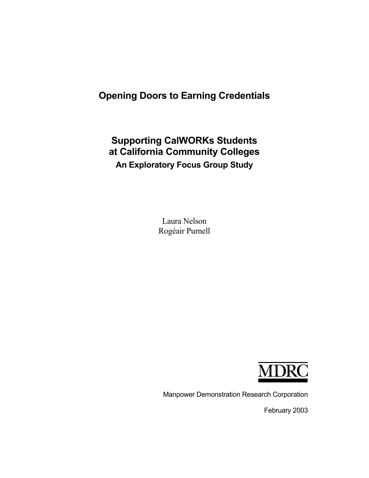# **Opening Doors to Earning Credentials**

# **Supporting CalWORKs Students at California Community Colleges An Exploratory Focus Group Study**

Laura Nelson Rogéair Purnell



Manpower Demonstration Research Corporation

February 2003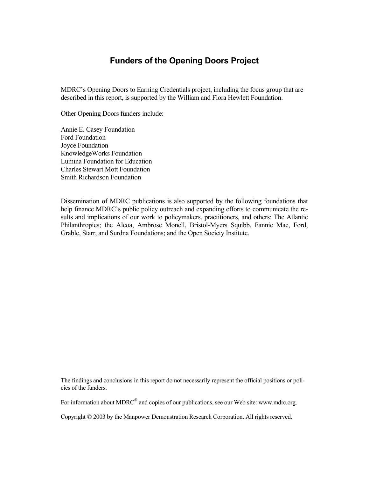## **Funders of the Opening Doors Project**

MDRC's Opening Doors to Earning Credentials project, including the focus group that are described in this report, is supported by the William and Flora Hewlett Foundation.

Other Opening Doors funders include:

Annie E. Casey Foundation Ford Foundation Joyce Foundation KnowledgeWorks Foundation Lumina Foundation for Education Charles Stewart Mott Foundation Smith Richardson Foundation

Dissemination of MDRC publications is also supported by the following foundations that help finance MDRC's public policy outreach and expanding efforts to communicate the results and implications of our work to policymakers, practitioners, and others: The Atlantic Philanthropies; the Alcoa, Ambrose Monell, Bristol-Myers Squibb, Fannie Mae, Ford, Grable, Starr, and Surdna Foundations; and the Open Society Institute.

The findings and conclusions in this report do not necessarily represent the official positions or policies of the funders.

For information about MDRC<sup>®</sup> and copies of our publications, see our Web site: www.mdrc.org.

Copyright © 2003 by the Manpower Demonstration Research Corporation. All rights reserved.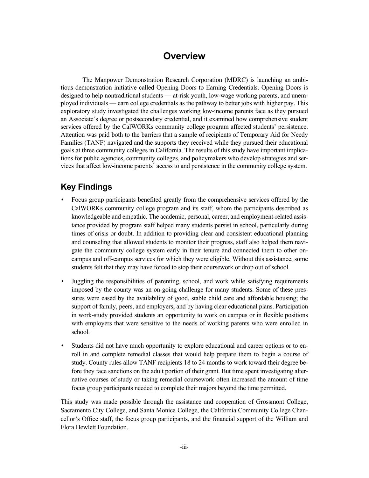# **Overview**

The Manpower Demonstration Research Corporation (MDRC) is launching an ambitious demonstration initiative called Opening Doors to Earning Credentials. Opening Doors is designed to help nontraditional students — at-risk youth, low-wage working parents, and unemployed individuals — earn college credentials as the pathway to better jobs with higher pay. This exploratory study investigated the challenges working low-income parents face as they pursued an Associate's degree or postsecondary credential, and it examined how comprehensive student services offered by the CalWORKs community college program affected students' persistence. Attention was paid both to the barriers that a sample of recipients of Temporary Aid for Needy Families (TANF) navigated and the supports they received while they pursued their educational goals at three community colleges in California. The results of this study have important implications for public agencies, community colleges, and policymakers who develop strategies and services that affect low-income parents' access to and persistence in the community college system.

# **Key Findings**

- Focus group participants benefited greatly from the comprehensive services offered by the CalWORKs community college program and its staff, whom the participants described as knowledgeable and empathic. The academic, personal, career, and employment-related assistance provided by program staff helped many students persist in school, particularly during times of crisis or doubt. In addition to providing clear and consistent educational planning and counseling that allowed students to monitor their progress, staff also helped them navigate the community college system early in their tenure and connected them to other oncampus and off-campus services for which they were eligible. Without this assistance, some students felt that they may have forced to stop their coursework or drop out of school.
- Juggling the responsibilities of parenting, school, and work while satisfying requirements imposed by the county was an on-going challenge for many students. Some of these pressures were eased by the availability of good, stable child care and affordable housing; the support of family, peers, and employers; and by having clear educational plans. Participation in work-study provided students an opportunity to work on campus or in flexible positions with employers that were sensitive to the needs of working parents who were enrolled in school.
- Students did not have much opportunity to explore educational and career options or to enroll in and complete remedial classes that would help prepare them to begin a course of study. County rules allow TANF recipients 18 to 24 months to work toward their degree before they face sanctions on the adult portion of their grant. But time spent investigating alternative courses of study or taking remedial coursework often increased the amount of time focus group participants needed to complete their majors beyond the time permitted.

This study was made possible through the assistance and cooperation of Grossmont College, Sacramento City College, and Santa Monica College, the California Community College Chancellor's Office staff, the focus group participants, and the financial support of the William and Flora Hewlett Foundation.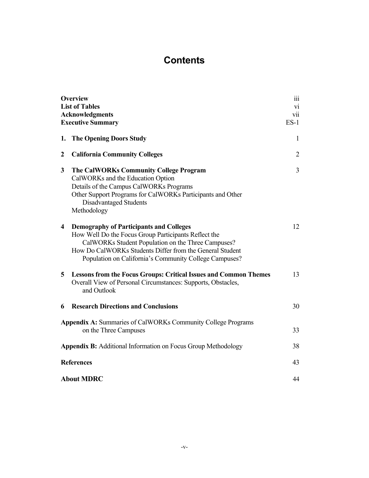# **Contents**

| <b>Overview</b><br><b>List of Tables</b><br><b>Acknowledgments</b><br><b>Executive Summary</b> |                                                                                                                                                                                                                                                                                    | iii<br>vi<br>vii<br>$ES-1$ |
|------------------------------------------------------------------------------------------------|------------------------------------------------------------------------------------------------------------------------------------------------------------------------------------------------------------------------------------------------------------------------------------|----------------------------|
| 1.                                                                                             | <b>The Opening Doors Study</b>                                                                                                                                                                                                                                                     | 1                          |
| $\boldsymbol{2}$                                                                               | <b>California Community Colleges</b>                                                                                                                                                                                                                                               | 2                          |
| 3                                                                                              | The CalWORKs Community College Program<br>CalWORKs and the Education Option<br>Details of the Campus CalWORKs Programs<br>Other Support Programs for CalWORKs Participants and Other<br>Disadvantaged Students<br>Methodology                                                      | 3                          |
| 4                                                                                              | <b>Demography of Participants and Colleges</b><br>How Well Do the Focus Group Participants Reflect the<br>CalWORKs Student Population on the Three Campuses?<br>How Do CalWORKs Students Differ from the General Student<br>Population on California's Community College Campuses? | 12                         |
| 5                                                                                              | <b>Lessons from the Focus Groups: Critical Issues and Common Themes</b><br>Overall View of Personal Circumstances: Supports, Obstacles,<br>and Outlook                                                                                                                             | 13                         |
| 6                                                                                              | <b>Research Directions and Conclusions</b>                                                                                                                                                                                                                                         | 30                         |
| <b>Appendix A: Summaries of CalWORKs Community College Programs</b><br>on the Three Campuses   |                                                                                                                                                                                                                                                                                    | 33                         |
| <b>Appendix B:</b> Additional Information on Focus Group Methodology                           |                                                                                                                                                                                                                                                                                    | 38                         |
| <b>References</b>                                                                              |                                                                                                                                                                                                                                                                                    | 43                         |
| <b>About MDRC</b>                                                                              |                                                                                                                                                                                                                                                                                    | 44                         |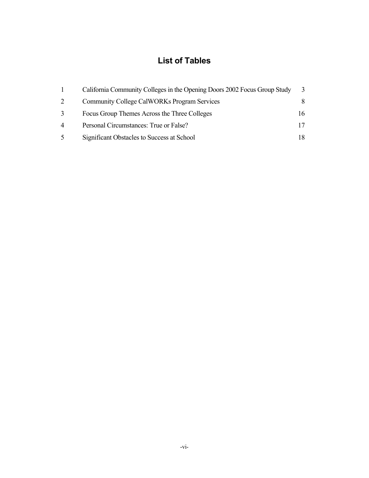# **List of Tables**

|   | California Community Colleges in the Opening Doors 2002 Focus Group Study | 3  |
|---|---------------------------------------------------------------------------|----|
| 2 | <b>Community College CalWORKs Program Services</b>                        | 8. |
| 3 | Focus Group Themes Across the Three Colleges                              | 16 |
| 4 | Personal Circumstances: True or False?                                    |    |
| 5 | Significant Obstacles to Success at School                                |    |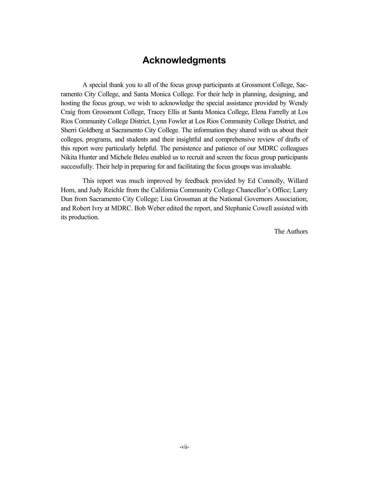## **Acknowledgments**

A special thank you to all of the focus group participants at Grossmont College, Sacramento City College, and Santa Monica College. For their help in planning, designing, and hosting the focus group, we wish to acknowledge the special assistance provided by Wendy Craig from Grossmont College, Tracey Ellis at Santa Monica College, Elena Farrelly at Los Rios Community College District, Lynn Fowler at Los Rios Community College District, and Sherri Goldberg at Sacramento City College. The information they shared with us about their colleges, programs, and students and their insightful and comprehensive review of drafts of this report were particularly helpful. The persistence and patience of our MDRC colleagues Nikita Hunter and Michele Beleu enabled us to recruit and screen the focus group participants successfully. Their help in preparing for and facilitating the focus groups was invaluable.

This report was much improved by feedback provided by Ed Connolly, Willard Hom, and Judy Reichle from the California Community College Chancellor's Office; Larry Dun from Sacramento City College; Lisa Grossman at the National Governors Association; and Robert Ivry at MDRC. Bob Weber edited the report, and Stephanie Cowell assisted with its production.

The Authors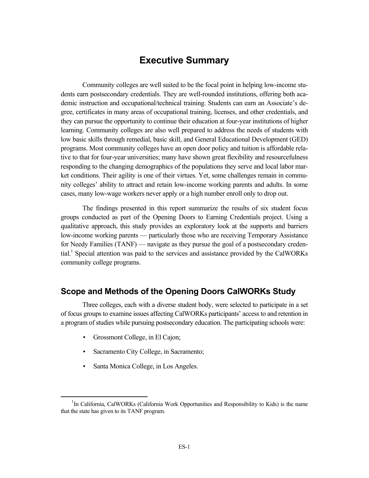## **Executive Summary**

Community colleges are well suited to be the focal point in helping low-income students earn postsecondary credentials. They are well-rounded institutions, offering both academic instruction and occupational/technical training. Students can earn an Associate's degree, certificates in many areas of occupational training, licenses, and other credentials, and they can pursue the opportunity to continue their education at four-year institutions of higher learning. Community colleges are also well prepared to address the needs of students with low basic skills through remedial, basic skill, and General Educational Development (GED) programs. Most community colleges have an open door policy and tuition is affordable relative to that for four-year universities; many have shown great flexibility and resourcefulness responding to the changing demographics of the populations they serve and local labor market conditions. Their agility is one of their virtues. Yet, some challenges remain in community colleges' ability to attract and retain low-income working parents and adults. In some cases, many low-wage workers never apply or a high number enroll only to drop out.

The findings presented in this report summarize the results of six student focus groups conducted as part of the Opening Doors to Earning Credentials project. Using a qualitative approach, this study provides an exploratory look at the supports and barriers low-income working parents — particularly those who are receiving Temporary Assistance for Needy Families (TANF) — navigate as they pursue the goal of a postsecondary credential.<sup>1</sup> Special attention was paid to the services and assistance provided by the CalWORKs community college programs.

## **Scope and Methods of the Opening Doors CalWORKs Study**

Three colleges, each with a diverse student body, were selected to participate in a set of focus groups to examine issues affecting CalWORKs participants' access to and retention in a program of studies while pursuing postsecondary education. The participating schools were:

- Grossmont College, in El Cajon;
- Sacramento City College, in Sacramento;
- Santa Monica College, in Los Angeles.

 <sup>1</sup>  $<sup>1</sup>$ In California, CalWORKs (California Work Opportunities and Responsibility to Kids) is the name</sup> that the state has given to its TANF program.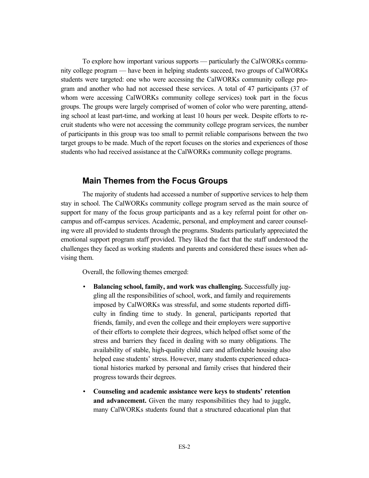To explore how important various supports — particularly the CalWORKs community college program — have been in helping students succeed, two groups of CalWORKs students were targeted: one who were accessing the CalWORKs community college program and another who had not accessed these services. A total of 47 participants (37 of whom were accessing CalWORKs community college services) took part in the focus groups. The groups were largely comprised of women of color who were parenting, attending school at least part-time, and working at least 10 hours per week. Despite efforts to recruit students who were not accessing the community college program services, the number of participants in this group was too small to permit reliable comparisons between the two target groups to be made. Much of the report focuses on the stories and experiences of those students who had received assistance at the CalWORKs community college programs.

#### **Main Themes from the Focus Groups**

The majority of students had accessed a number of supportive services to help them stay in school. The CalWORKs community college program served as the main source of support for many of the focus group participants and as a key referral point for other oncampus and off-campus services. Academic, personal, and employment and career counseling were all provided to students through the programs. Students particularly appreciated the emotional support program staff provided. They liked the fact that the staff understood the challenges they faced as working students and parents and considered these issues when advising them.

Overall, the following themes emerged:

- **Balancing school, family, and work was challenging.** Successfully juggling all the responsibilities of school, work, and family and requirements imposed by CalWORKs was stressful, and some students reported difficulty in finding time to study. In general, participants reported that friends, family, and even the college and their employers were supportive of their efforts to complete their degrees, which helped offset some of the stress and barriers they faced in dealing with so many obligations. The availability of stable, high-quality child care and affordable housing also helped ease students' stress. However, many students experienced educational histories marked by personal and family crises that hindered their progress towards their degrees.
- **Counseling and academic assistance were keys to students' retention and advancement.** Given the many responsibilities they had to juggle, many CalWORKs students found that a structured educational plan that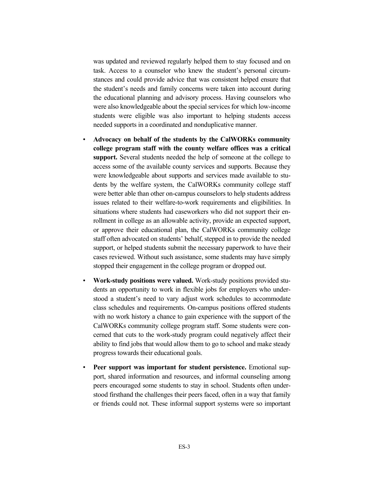was updated and reviewed regularly helped them to stay focused and on task. Access to a counselor who knew the student's personal circumstances and could provide advice that was consistent helped ensure that the student's needs and family concerns were taken into account during the educational planning and advisory process. Having counselors who were also knowledgeable about the special services for which low-income students were eligible was also important to helping students access needed supports in a coordinated and nonduplicative manner.

- **Advocacy on behalf of the students by the CalWORKs community college program staff with the county welfare offices was a critical support.** Several students needed the help of someone at the college to access some of the available county services and supports. Because they were knowledgeable about supports and services made available to students by the welfare system, the CalWORKs community college staff were better able than other on-campus counselors to help students address issues related to their welfare-to-work requirements and eligibilities. In situations where students had caseworkers who did not support their enrollment in college as an allowable activity, provide an expected support, or approve their educational plan, the CalWORKs community college staff often advocated on students' behalf, stepped in to provide the needed support, or helped students submit the necessary paperwork to have their cases reviewed. Without such assistance, some students may have simply stopped their engagement in the college program or dropped out.
- **Work-study positions were valued.** Work-study positions provided students an opportunity to work in flexible jobs for employers who understood a student's need to vary adjust work schedules to accommodate class schedules and requirements. On-campus positions offered students with no work history a chance to gain experience with the support of the CalWORKs community college program staff. Some students were concerned that cuts to the work-study program could negatively affect their ability to find jobs that would allow them to go to school and make steady progress towards their educational goals.
- **Peer support was important for student persistence.** Emotional support, shared information and resources, and informal counseling among peers encouraged some students to stay in school. Students often understood firsthand the challenges their peers faced, often in a way that family or friends could not. These informal support systems were so important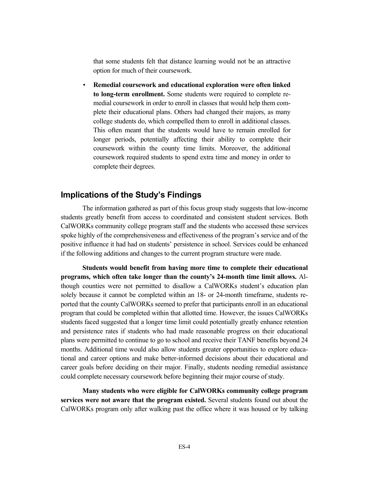that some students felt that distance learning would not be an attractive option for much of their coursework.

• **Remedial coursework and educational exploration were often linked to long-term enrollment.** Some students were required to complete remedial coursework in order to enroll in classes that would help them complete their educational plans. Others had changed their majors, as many college students do, which compelled them to enroll in additional classes. This often meant that the students would have to remain enrolled for longer periods, potentially affecting their ability to complete their coursework within the county time limits. Moreover, the additional coursework required students to spend extra time and money in order to complete their degrees.

## **Implications of the Study's Findings**

The information gathered as part of this focus group study suggests that low-income students greatly benefit from access to coordinated and consistent student services. Both CalWORKs community college program staff and the students who accessed these services spoke highly of the comprehensiveness and effectiveness of the program's service and of the positive influence it had had on students' persistence in school. Services could be enhanced if the following additions and changes to the current program structure were made.

**Students would benefit from having more time to complete their educational programs, which often take longer than the county's 24-month time limit allows.** Although counties were not permitted to disallow a CalWORKs student's education plan solely because it cannot be completed within an 18- or 24-month timeframe, students reported that the county CalWORKs seemed to prefer that participants enroll in an educational program that could be completed within that allotted time. However, the issues CalWORKs students faced suggested that a longer time limit could potentially greatly enhance retention and persistence rates if students who had made reasonable progress on their educational plans were permitted to continue to go to school and receive their TANF benefits beyond 24 months. Additional time would also allow students greater opportunities to explore educational and career options and make better-informed decisions about their educational and career goals before deciding on their major. Finally, students needing remedial assistance could complete necessary coursework before beginning their major course of study.

**Many students who were eligible for CalWORKs community college program services were not aware that the program existed.** Several students found out about the CalWORKs program only after walking past the office where it was housed or by talking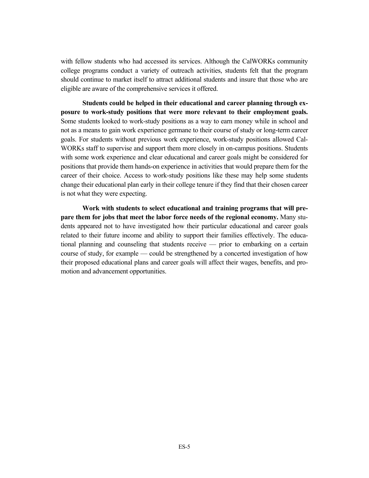with fellow students who had accessed its services. Although the CalWORKs community college programs conduct a variety of outreach activities, students felt that the program should continue to market itself to attract additional students and insure that those who are eligible are aware of the comprehensive services it offered.

**Students could be helped in their educational and career planning through exposure to work-study positions that were more relevant to their employment goals.**  Some students looked to work-study positions as a way to earn money while in school and not as a means to gain work experience germane to their course of study or long-term career goals. For students without previous work experience, work-study positions allowed Cal-WORKs staff to supervise and support them more closely in on-campus positions. Students with some work experience and clear educational and career goals might be considered for positions that provide them hands-on experience in activities that would prepare them for the career of their choice. Access to work-study positions like these may help some students change their educational plan early in their college tenure if they find that their chosen career is not what they were expecting.

**Work with students to select educational and training programs that will prepare them for jobs that meet the labor force needs of the regional economy.** Many students appeared not to have investigated how their particular educational and career goals related to their future income and ability to support their families effectively. The educational planning and counseling that students receive — prior to embarking on a certain course of study, for example — could be strengthened by a concerted investigation of how their proposed educational plans and career goals will affect their wages, benefits, and promotion and advancement opportunities.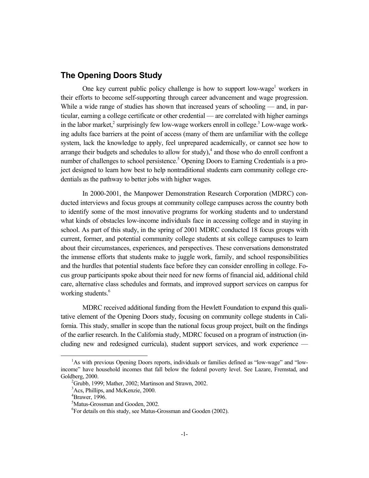## **The Opening Doors Study**

One key current public policy challenge is how to support low-wage<sup>1</sup> workers in their efforts to become self-supporting through career advancement and wage progression. While a wide range of studies has shown that increased years of schooling — and, in particular, earning a college certificate or other credential — are correlated with higher earnings in the labor market,<sup>2</sup> surprisingly few low-wage workers enroll in college.<sup>3</sup> Low-wage working adults face barriers at the point of access (many of them are unfamiliar with the college system, lack the knowledge to apply, feel unprepared academically, or cannot see how to arrange their budgets and schedules to allow for study), $4$  and those who do enroll confront a number of challenges to school persistence.<sup>5</sup> Opening Doors to Earning Credentials is a project designed to learn how best to help nontraditional students earn community college credentials as the pathway to better jobs with higher wages.

In 2000-2001, the Manpower Demonstration Research Corporation (MDRC) conducted interviews and focus groups at community college campuses across the country both to identify some of the most innovative programs for working students and to understand what kinds of obstacles low-income individuals face in accessing college and in staying in school. As part of this study, in the spring of 2001 MDRC conducted 18 focus groups with current, former, and potential community college students at six college campuses to learn about their circumstances, experiences, and perspectives. These conversations demonstrated the immense efforts that students make to juggle work, family, and school responsibilities and the hurdles that potential students face before they can consider enrolling in college. Focus group participants spoke about their need for new forms of financial aid, additional child care, alternative class schedules and formats, and improved support services on campus for working students.<sup>6</sup>

MDRC received additional funding from the Hewlett Foundation to expand this qualitative element of the Opening Doors study, focusing on community college students in California. This study, smaller in scope than the national focus group project, built on the findings of the earlier research. In the California study, MDRC focused on a program of instruction (including new and redesigned curricula), student support services, and work experience —

 $\frac{1}{1}$ <sup>1</sup>As with previous Opening Doors reports, individuals or families defined as "low-wage" and "lowincome" have household incomes that fall below the federal poverty level. See Lazare, Fremstad, and Goldberg, 2000.

 $^{2}$ Grubb, 1999; Mather, 2002; Martinson and Strawn, 2002.

<sup>3</sup> Acs, Phillips, and McKenzie, 2000.

<sup>4</sup> Brawer, 1996.

<sup>5</sup> Matus-Grossman and Gooden, 2002.

<sup>6</sup> For details on this study, see Matus-Grossman and Gooden (2002).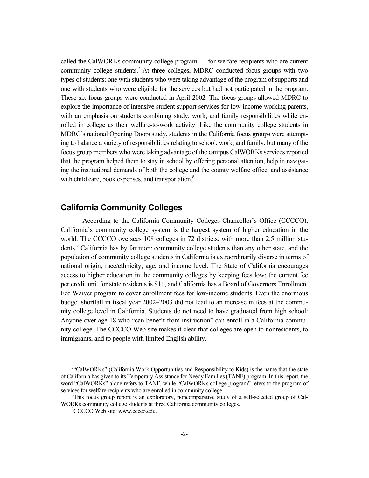called the CalWORKs community college program — for welfare recipients who are current community college students.7 At three colleges, MDRC conducted focus groups with two types of students: one with students who were taking advantage of the program of supports and one with students who were eligible for the services but had not participated in the program. These six focus groups were conducted in April 2002. The focus groups allowed MDRC to explore the importance of intensive student support services for low-income working parents, with an emphasis on students combining study, work, and family responsibilities while enrolled in college as their welfare-to-work activity. Like the community college students in MDRC's national Opening Doors study, students in the California focus groups were attempting to balance a variety of responsibilities relating to school, work, and family, but many of the focus group members who were taking advantage of the campus CalWORKs services reported that the program helped them to stay in school by offering personal attention, help in navigating the institutional demands of both the college and the county welfare office, and assistance with child care, book expenses, and transportation.<sup>8</sup>

#### **California Community Colleges**

According to the California Community Colleges Chancellor's Office (CCCCO), California's community college system is the largest system of higher education in the world. The CCCCO oversees 108 colleges in 72 districts, with more than 2.5 million students.<sup>9</sup> California has by far more community college students than any other state, and the population of community college students in California is extraordinarily diverse in terms of national origin, race/ethnicity, age, and income level. The State of California encourages access to higher education in the community colleges by keeping fees low; the current fee per credit unit for state residents is \$11, and California has a Board of Governors Enrollment Fee Waiver program to cover enrollment fees for low-income students. Even the enormous budget shortfall in fiscal year 2002–2003 did not lead to an increase in fees at the community college level in California. Students do not need to have graduated from high school: Anyone over age 18 who "can benefit from instruction" can enroll in a California community college. The CCCCO Web site makes it clear that colleges are open to nonresidents, to immigrants, and to people with limited English ability.

 $\frac{1}{7}$  $\alpha$ <sup>"</sup>"CalWORKs" (California Work Opportunities and Responsibility to Kids) is the name that the state of California has given to its Temporary Assistance for Needy Families (TANF) program. In this report, the word "CalWORKs" alone refers to TANF, while "CalWORKs college program" refers to the program of services for welfare recipients who are enrolled in community college.

<sup>&</sup>lt;sup>8</sup>This focus group report is an exploratory, noncomparative study of a self-selected group of Cal-WORKs community college students at three California community colleges.

<sup>&</sup>lt;sup>9</sup>CCCCO Web site: www.cccco.edu.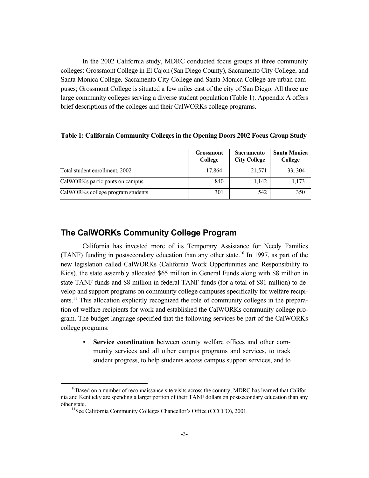In the 2002 California study, MDRC conducted focus groups at three community colleges: Grossmont College in El Cajon (San Diego County), Sacramento City College, and Santa Monica College. Sacramento City College and Santa Monica College are urban campuses; Grossmont College is situated a few miles east of the city of San Diego. All three are large community colleges serving a diverse student population (Table 1). Appendix A offers brief descriptions of the colleges and their CalWORKs college programs.

|                                   | <b>Grossmont</b><br>College | <b>Sacramento</b><br><b>City College</b> | <b>Santa Monica</b><br>College |
|-----------------------------------|-----------------------------|------------------------------------------|--------------------------------|
| Total student enrollment, 2002    | 17,864                      | 21,571                                   | 33, 304                        |
| CalWORKs participants on campus   | 840                         | 1,142                                    | 1,173                          |
| CalWORKs college program students | 301                         | 542                                      | 350                            |

#### **Table 1: California Community Colleges in the Opening Doors 2002 Focus Group Study**

#### **The CalWORKs Community College Program**

California has invested more of its Temporary Assistance for Needy Families (TANF) funding in postsecondary education than any other state.10 In 1997, as part of the new legislation called CalWORKs (California Work Opportunities and Responsibility to Kids), the state assembly allocated \$65 million in General Funds along with \$8 million in state TANF funds and \$8 million in federal TANF funds (for a total of \$81 million) to develop and support programs on community college campuses specifically for welfare recipients.11 This allocation explicitly recognized the role of community colleges in the preparation of welfare recipients for work and established the CalWORKs community college program. The budget language specified that the following services be part of the CalWORKs college programs:

• **Service coordination** between county welfare offices and other community services and all other campus programs and services, to track student progress, to help students access campus support services, and to

 $10B$ ased on a number of reconnaissance site visits across the country, MDRC has learned that California and Kentucky are spending a larger portion of their TANF dollars on postsecondary education than any other state. 11See California Community Colleges Chancellor's Office (CCCCO), 2001.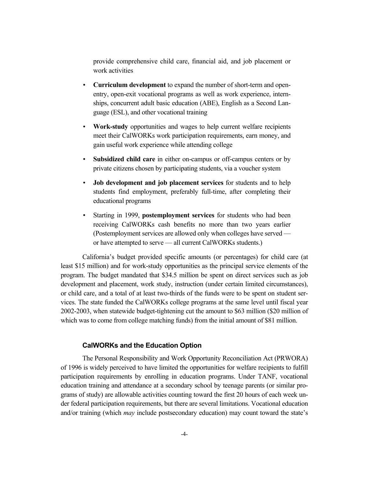provide comprehensive child care, financial aid, and job placement or work activities

- **Curriculum development** to expand the number of short-term and openentry, open-exit vocational programs as well as work experience, internships, concurrent adult basic education (ABE), English as a Second Language (ESL), and other vocational training
- **Work-study** opportunities and wages to help current welfare recipients meet their CalWORKs work participation requirements, earn money, and gain useful work experience while attending college
- **Subsidized child care** in either on-campus or off-campus centers or by private citizens chosen by participating students, via a voucher system
- **Job development and job placement services** for students and to help students find employment, preferably full-time, after completing their educational programs
- Starting in 1999, **postemployment services** for students who had been receiving CalWORKs cash benefits no more than two years earlier (Postemployment services are allowed only when colleges have served or have attempted to serve — all current CalWORKs students.)

California's budget provided specific amounts (or percentages) for child care (at least \$15 million) and for work-study opportunities as the principal service elements of the program. The budget mandated that \$34.5 million be spent on direct services such as job development and placement, work study, instruction (under certain limited circumstances), or child care, and a total of at least two-thirds of the funds were to be spent on student services. The state funded the CalWORKs college programs at the same level until fiscal year 2002-2003, when statewide budget-tightening cut the amount to \$63 million (\$20 million of which was to come from college matching funds) from the initial amount of \$81 million.

#### **CalWORKs and the Education Option**

The Personal Responsibility and Work Opportunity Reconciliation Act (PRWORA) of 1996 is widely perceived to have limited the opportunities for welfare recipients to fulfill participation requirements by enrolling in education programs. Under TANF, vocational education training and attendance at a secondary school by teenage parents (or similar programs of study) are allowable activities counting toward the first 20 hours of each week under federal participation requirements, but there are several limitations. Vocational education and/or training (which *may* include postsecondary education) may count toward the state's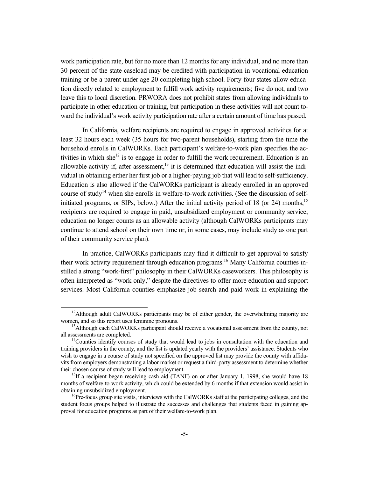work participation rate, but for no more than 12 months for any individual, and no more than 30 percent of the state caseload may be credited with participation in vocational education training or be a parent under age 20 completing high school. Forty-four states allow education directly related to employment to fulfill work activity requirements; five do not, and two leave this to local discretion. PRWORA does not prohibit states from allowing individuals to participate in other education or training, but participation in these activities will not count toward the individual's work activity participation rate after a certain amount of time has passed.

In California, welfare recipients are required to engage in approved activities for at least 32 hours each week (35 hours for two-parent households), starting from the time the household enrolls in CalWORKs. Each participant's welfare-to-work plan specifies the activities in which she<sup>12</sup> is to engage in order to fulfill the work requirement. Education is an allowable activity if, after assessment,<sup>13</sup> it is determined that education will assist the individual in obtaining either her first job or a higher-paying job that will lead to self-sufficiency. Education is also allowed if the CalWORKs participant is already enrolled in an approved course of study<sup>14</sup> when she enrolls in welfare-to-work activities. (See the discussion of selfinitiated programs, or SIPs, below.) After the initial activity period of 18 (or 24) months,<sup>15</sup> recipients are required to engage in paid, unsubsidized employment or community service; education no longer counts as an allowable activity (although CalWORKs participants may continue to attend school on their own time or, in some cases, may include study as one part of their community service plan).

In practice, CalWORKs participants may find it difficult to get approval to satisfy their work activity requirement through education programs.<sup>16</sup> Many California counties instilled a strong "work-first" philosophy in their CalWORKs caseworkers. This philosophy is often interpreted as "work only," despite the directives to offer more education and support services. Most California counties emphasize job search and paid work in explaining the

<sup>&</sup>lt;sup>12</sup>Although adult CalWORKs participants may be of either gender, the overwhelming majority are

women, and so this report uses feminine pronouns.<br><sup>13</sup>Although each CalWORKs participant should receive a vocational assessment from the county, not all assessments are completed.

 $14$ Counties identify courses of study that would lead to jobs in consultation with the education and training providers in the county, and the list is updated yearly with the providers' assistance. Students who wish to engage in a course of study not specified on the approved list may provide the county with affidavits from employers demonstrating a labor market or request a third-party assessment to determine whether their chosen course of study will lead to employment.<br><sup>15</sup>If a recipient began receiving cash aid (TANF) on or after January 1, 1998, she would have 18

months of welfare-to-work activity, which could be extended by 6 months if that extension would assist in obtaining unsubsidized employment.<br><sup>16</sup>Pre-focus group site visits, interviews with the CalWORKs staff at the participating colleges, and the

student focus groups helped to illustrate the successes and challenges that students faced in gaining approval for education programs as part of their welfare-to-work plan.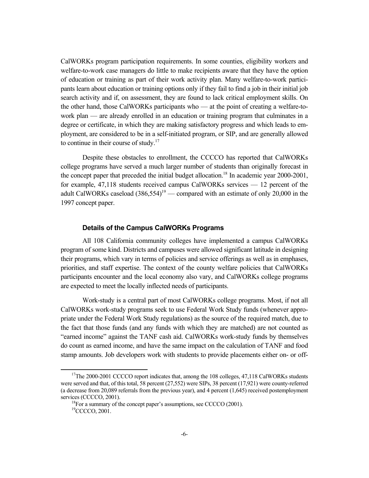CalWORKs program participation requirements. In some counties, eligibility workers and welfare-to-work case managers do little to make recipients aware that they have the option of education or training as part of their work activity plan. Many welfare-to-work participants learn about education or training options only if they fail to find a job in their initial job search activity and if, on assessment, they are found to lack critical employment skills. On the other hand, those CalWORKs participants who — at the point of creating a welfare-towork plan — are already enrolled in an education or training program that culminates in a degree or certificate, in which they are making satisfactory progress and which leads to employment, are considered to be in a self-initiated program, or SIP, and are generally allowed to continue in their course of study.<sup>17</sup>

Despite these obstacles to enrollment, the CCCCO has reported that CalWORKs college programs have served a much larger number of students than originally forecast in the concept paper that preceded the initial budget allocation.<sup>18</sup> In academic year  $2000$ - $2001$ , for example, 47,118 students received campus CalWORKs services — 12 percent of the adult CalWORKs caseload  $(386,554)^{19}$  — compared with an estimate of only 20,000 in the 1997 concept paper.

#### **Details of the Campus CalWORKs Programs**

All 108 California community colleges have implemented a campus CalWORKs program of some kind. Districts and campuses were allowed significant latitude in designing their programs, which vary in terms of policies and service offerings as well as in emphases, priorities, and staff expertise. The context of the county welfare policies that CalWORKs participants encounter and the local economy also vary, and CalWORKs college programs are expected to meet the locally inflected needs of participants.

Work-study is a central part of most CalWORKs college programs. Most, if not all CalWORKs work-study programs seek to use Federal Work Study funds (whenever appropriate under the Federal Work Study regulations) as the source of the required match, due to the fact that those funds (and any funds with which they are matched) are not counted as "earned income" against the TANF cash aid. CalWORKs work-study funds by themselves do count as earned income, and have the same impact on the calculation of TANF and food stamp amounts. Job developers work with students to provide placements either on- or off-

<sup>&</sup>lt;sup>17</sup>The 2000-2001 CCCCO report indicates that, among the 108 colleges,  $47,118$  CalWORKs students were served and that, of this total, 58 percent (27,552) were SIPs, 38 percent (17,921) were county-referred (a decrease from 20,089 referrals from the previous year), and 4 percent (1,645) received postemployment services (CCCCO, 2001).<br><sup>18</sup>For a summary of the concept paper's assumptions, see CCCCO (2001).

<sup>&</sup>lt;sup>19</sup>CCCCO, 2001.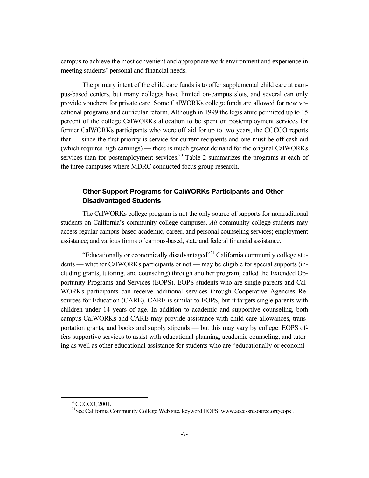campus to achieve the most convenient and appropriate work environment and experience in meeting students' personal and financial needs.

The primary intent of the child care funds is to offer supplemental child care at campus-based centers, but many colleges have limited on-campus slots, and several can only provide vouchers for private care. Some CalWORKs college funds are allowed for new vocational programs and curricular reform. Although in 1999 the legislature permitted up to 15 percent of the college CalWORKs allocation to be spent on postemployment services for former CalWORKs participants who were off aid for up to two years, the CCCCO reports that — since the first priority is service for current recipients and one must be off cash aid (which requires high earnings) — there is much greater demand for the original CalWORKs services than for postemployment services.<sup>20</sup> Table 2 summarizes the programs at each of the three campuses where MDRC conducted focus group research.

#### **Other Support Programs for CalWORKs Participants and Other Disadvantaged Students**

The CalWORKs college program is not the only source of supports for nontraditional students on California's community college campuses. *All* community college students may access regular campus-based academic, career, and personal counseling services; employment assistance; and various forms of campus-based, state and federal financial assistance.

"Educationally or economically disadvantaged"21 California community college students — whether CalWORKs participants or not — may be eligible for special supports (including grants, tutoring, and counseling) through another program, called the Extended Opportunity Programs and Services (EOPS). EOPS students who are single parents and Cal-WORKs participants can receive additional services through Cooperative Agencies Resources for Education (CARE). CARE is similar to EOPS, but it targets single parents with children under 14 years of age. In addition to academic and supportive counseling, both campus CalWORKs and CARE may provide assistance with child care allowances, transportation grants, and books and supply stipends — but this may vary by college. EOPS offers supportive services to assist with educational planning, academic counseling, and tutoring as well as other educational assistance for students who are "educationally or economi-

<sup>&</sup>lt;sup>20</sup>CCCCO, 2001.

<sup>&</sup>lt;sup>21</sup>See California Community College Web site, keyword EOPS: www.accessresource.org/eops.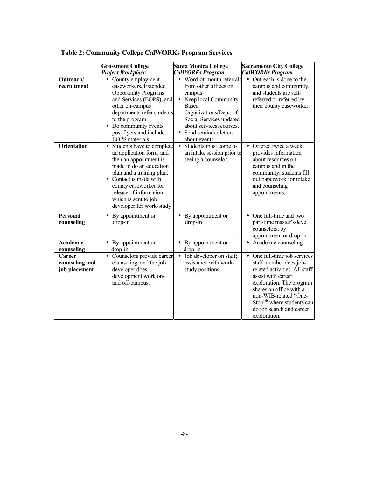|                                                  | <b>Grossmont College</b><br><b>Project Workplace</b>                                                                                                                                                                                                                                 | <b>Santa Monica College</b><br><b>CalWORKs Program</b>                                                                                                                                                                         | <b>Sacramento City College</b><br><b>CalWORKs Program</b>                                                                                                                                                                                                                        |
|--------------------------------------------------|--------------------------------------------------------------------------------------------------------------------------------------------------------------------------------------------------------------------------------------------------------------------------------------|--------------------------------------------------------------------------------------------------------------------------------------------------------------------------------------------------------------------------------|----------------------------------------------------------------------------------------------------------------------------------------------------------------------------------------------------------------------------------------------------------------------------------|
| Outreach/<br>recruitment                         | County employment<br>$\bullet$<br>caseworkers, Extended<br><b>Opportunity Programs</b><br>and Services (EOPS), and<br>other on-campus<br>departments refer students<br>to the program.<br>• Do community events,<br>post flyers and include<br>EOPS materials.                       | Word-of-mouth referrals<br>from other offices on<br>campus<br>Keep local Community-<br><b>Based</b><br>Organizations/Dept. of<br>Social Services updated<br>about services, courses.<br>Send reminder letters<br>about events. | Outreach is done to the<br>$\bullet$<br>campus and community,<br>and students are self-<br>referred or referred by<br>their county caseworker.                                                                                                                                   |
| <b>Orientation</b>                               | Students have to complete<br>$\bullet$<br>an application form, and<br>then an appointment is<br>made to do an education<br>plan and a training plan.<br>Contact is made with<br>county caseworker for<br>release of information,<br>which is sent to job<br>developer for work-study | Students must come to<br>$\bullet$<br>an intake session prior to<br>seeing a counselor.                                                                                                                                        | • Offered twice a week;<br>provides information<br>about resources on<br>campus and in the<br>community; students fill<br>out paperwork for intake<br>and counseling<br>appointments.                                                                                            |
| <b>Personal</b><br>counseling                    | • By appointment or<br>drop-in                                                                                                                                                                                                                                                       | By appointment or<br>drop-in                                                                                                                                                                                                   | • One full-time and two<br>part-time master's-level<br>counselors, by<br>appointment or drop-in                                                                                                                                                                                  |
| <b>Academic</b><br>counseling                    | By appointment or<br>$\bullet$<br>drop-in                                                                                                                                                                                                                                            | By appointment or<br>drop-in                                                                                                                                                                                                   | • Academic counseling                                                                                                                                                                                                                                                            |
| <b>Career</b><br>counseling and<br>job placement | Counselors provide career<br>$\bullet$<br>counseling, and the job<br>developer does<br>development work on-<br>and off-campus.                                                                                                                                                       | Job developer on staff;<br>$\bullet$<br>assistance with work-<br>study positions                                                                                                                                               | One full-time job services<br>$\bullet$<br>staff member does job-<br>related activities. All staff<br>assist with career<br>exploration. The program<br>shares an office with a<br>non-WIB-related "One-<br>Stop" where students can<br>do job search and career<br>exploration. |

**Table 2: Community College CalWORKs Program Services**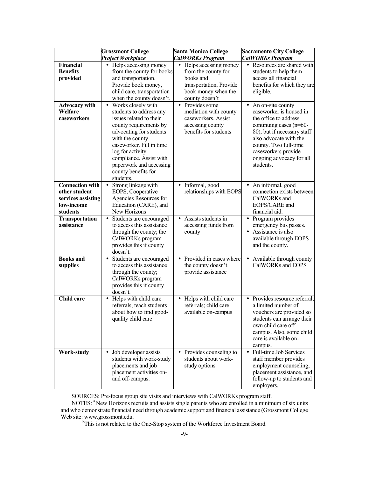|                                                                                         | <b>Grossmont College</b>                                                                                                                                                                                                                                                                                | <b>Santa Monica College</b>                                                                                                                | <b>Sacramento City College</b>                                                                                                                                                                                                                       |
|-----------------------------------------------------------------------------------------|---------------------------------------------------------------------------------------------------------------------------------------------------------------------------------------------------------------------------------------------------------------------------------------------------------|--------------------------------------------------------------------------------------------------------------------------------------------|------------------------------------------------------------------------------------------------------------------------------------------------------------------------------------------------------------------------------------------------------|
|                                                                                         | <b>Project Workplace</b>                                                                                                                                                                                                                                                                                | <b>CalWORKs Program</b>                                                                                                                    | <b>CalWORKs Program</b>                                                                                                                                                                                                                              |
| Financial<br><b>Benefits</b><br>provided                                                | Helps accessing money<br>$\bullet$<br>from the county for books<br>and transportation.<br>Provide book money,<br>child care, transportation<br>when the county doesn't.                                                                                                                                 | Helps accessing money<br>$\bullet$<br>from the county for<br>books and<br>transportation. Provide<br>book money when the<br>county doesn't | Resources are shared with<br>$\bullet$<br>students to help them<br>access all financial<br>benefits for which they are<br>eligible.                                                                                                                  |
| <b>Advocacy with</b><br>Welfare<br>caseworkers                                          | Works closely with<br>$\bullet$<br>students to address any<br>issues related to their<br>county requirements by<br>advocating for students<br>with the county<br>caseworker. Fill in time<br>log for activity<br>compliance. Assist with<br>paperwork and accessing<br>county benefits for<br>students. | • Provides some<br>mediation with county<br>caseworkers. Assist<br>accessing county<br>benefits for students                               | • An on-site county<br>caseworker is housed in<br>the office to address<br>continuing cases (n=60-<br>80), but if necessary staff<br>also advocate with the<br>county. Two full-time<br>caseworkers provide<br>ongoing advocacy for all<br>students. |
| <b>Connection with</b><br>other student<br>services assisting<br>low-income<br>students | Strong linkage with<br>$\bullet$<br>EOPS, Cooperative<br>Agencies Resources for<br>Education (CARE), and<br>New Horizons                                                                                                                                                                                | Informal, good<br>$\bullet$<br>relationships with EOPS                                                                                     | • An informal, good<br>connection exists between<br>CalWORKs and<br>EOPS/CARE and<br>financial aid.                                                                                                                                                  |
| <b>Transportation</b><br>assistance                                                     | $\bullet$<br>Students are encouraged<br>to access this assistance<br>through the county; the<br>CalWORKs program<br>provides this if county<br>doesn't.                                                                                                                                                 | Assists students in<br>accessing funds from<br>county                                                                                      | • Program provides<br>emergency bus passes.<br>• Assistance is also<br>available through EOPS<br>and the county.                                                                                                                                     |
| <b>Books</b> and<br>supplies                                                            | Students are encouraged<br>$\bullet$<br>to access this assistance<br>through the county;<br>CalWORKs program<br>provides this if county<br>doesn't.                                                                                                                                                     | • Provided in cases where<br>the county doesn't<br>provide assistance                                                                      | Available through county<br>CalWORKs and EOPS                                                                                                                                                                                                        |
| <b>Child care</b>                                                                       | • Helps with child care<br>referrals; teach students<br>about how to find good-<br>quality child care                                                                                                                                                                                                   | • Helps with child care<br>referrals; child care<br>available on-campus                                                                    | • Provides resource referral;<br>a limited number of<br>vouchers are provided so<br>students can arrange their<br>own child care off-<br>campus. Also, some child<br>care is available on-<br>campus.                                                |
| Work-study                                                                              | Job developer assists<br>$\bullet$<br>students with work-study<br>placements and job<br>placement activities on-<br>and off-campus.                                                                                                                                                                     | • Provides counseling to<br>students about work-<br>study options                                                                          | Full-time Job Services<br>$\bullet$<br>staff member provides<br>employment counseling,<br>placement assistance, and<br>follow-up to students and<br>employers.                                                                                       |

SOURCES: Pre-focus group site visits and interviews with CalWORKs program staff.

NOTES: <sup>a</sup> New Horizons recruits and assists single parents who are enrolled in a minimum of six units and who demonstrate financial need through academic support and financial assistance (Grossmont College Web site: www.grossmont.edu.<br>
<sup>b</sup>This is not related to the One-Stop system of the Workforce Investment Board.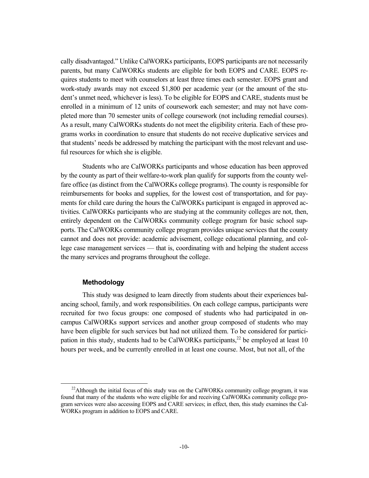cally disadvantaged." Unlike CalWORKs participants, EOPS participants are not necessarily parents, but many CalWORKs students are eligible for both EOPS and CARE. EOPS requires students to meet with counselors at least three times each semester. EOPS grant and work-study awards may not exceed \$1,800 per academic year (or the amount of the student's unmet need, whichever is less). To be eligible for EOPS and CARE, students must be enrolled in a minimum of 12 units of coursework each semester; and may not have completed more than 70 semester units of college coursework (not including remedial courses). As a result, many CalWORKs students do not meet the eligibility criteria. Each of these programs works in coordination to ensure that students do not receive duplicative services and that students' needs be addressed by matching the participant with the most relevant and useful resources for which she is eligible.

Students who are CalWORKs participants and whose education has been approved by the county as part of their welfare-to-work plan qualify for supports from the county welfare office (as distinct from the CalWORKs college programs). The county is responsible for reimbursements for books and supplies, for the lowest cost of transportation, and for payments for child care during the hours the CalWORKs participant is engaged in approved activities. CalWORKs participants who are studying at the community colleges are not, then, entirely dependent on the CalWORKs community college program for basic school supports. The CalWORKs community college program provides unique services that the county cannot and does not provide: academic advisement, college educational planning, and college case management services — that is, coordinating with and helping the student access the many services and programs throughout the college.

#### **Methodology**

This study was designed to learn directly from students about their experiences balancing school, family, and work responsibilities. On each college campus, participants were recruited for two focus groups: one composed of students who had participated in oncampus CalWORKs support services and another group composed of students who may have been eligible for such services but had not utilized them. To be considered for participation in this study, students had to be CalWORKs participants,<sup>22</sup> be employed at least 10 hours per week, and be currently enrolled in at least one course. Most, but not all, of the

<sup>&</sup>lt;sup>22</sup>Although the initial focus of this study was on the CalWORKs community college program, it was found that many of the students who were eligible for and receiving CalWORKs community college program services were also accessing EOPS and CARE services; in effect, then, this study examines the Cal-WORKs program in addition to EOPS and CARE.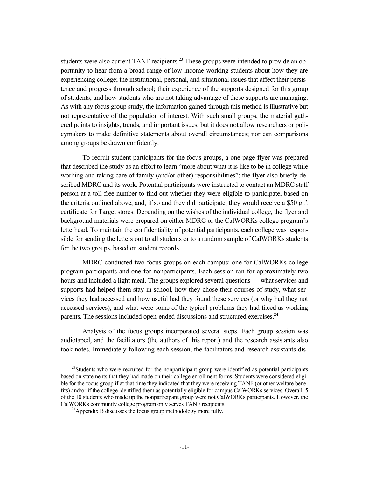students were also current TANF recipients.<sup>23</sup> These groups were intended to provide an opportunity to hear from a broad range of low-income working students about how they are experiencing college; the institutional, personal, and situational issues that affect their persistence and progress through school; their experience of the supports designed for this group of students; and how students who are not taking advantage of these supports are managing. As with any focus group study, the information gained through this method is illustrative but not representative of the population of interest. With such small groups, the material gathered points to insights, trends, and important issues, but it does not allow researchers or policymakers to make definitive statements about overall circumstances; nor can comparisons among groups be drawn confidently.

To recruit student participants for the focus groups, a one-page flyer was prepared that described the study as an effort to learn "more about what it is like to be in college while working and taking care of family (and/or other) responsibilities"; the flyer also briefly described MDRC and its work. Potential participants were instructed to contact an MDRC staff person at a toll-free number to find out whether they were eligible to participate, based on the criteria outlined above, and, if so and they did participate, they would receive a \$50 gift certificate for Target stores. Depending on the wishes of the individual college, the flyer and background materials were prepared on either MDRC or the CalWORKs college program's letterhead. To maintain the confidentiality of potential participants, each college was responsible for sending the letters out to all students or to a random sample of CalWORKs students for the two groups, based on student records.

MDRC conducted two focus groups on each campus: one for CalWORKs college program participants and one for nonparticipants. Each session ran for approximately two hours and included a light meal. The groups explored several questions — what services and supports had helped them stay in school, how they chose their courses of study, what services they had accessed and how useful had they found these services (or why had they not accessed services), and what were some of the typical problems they had faced as working parents. The sessions included open-ended discussions and structured exercises.<sup>24</sup>

Analysis of the focus groups incorporated several steps. Each group session was audiotaped, and the facilitators (the authors of this report) and the research assistants also took notes. Immediately following each session, the facilitators and research assistants dis-

 $23$ Students who were recruited for the nonparticipant group were identified as potential participants based on statements that they had made on their college enrollment forms. Students were considered eligible for the focus group if at that time they indicated that they were receiving TANF (or other welfare benefits) and/or if the college identified them as potentially eligible for campus CalWORKs services. Overall, 5 of the 10 students who made up the nonparticipant group were not CalWORKs participants. However, the CalWORKs community college program only serves TANF recipients. 24Appendix B discusses the focus group methodology more fully.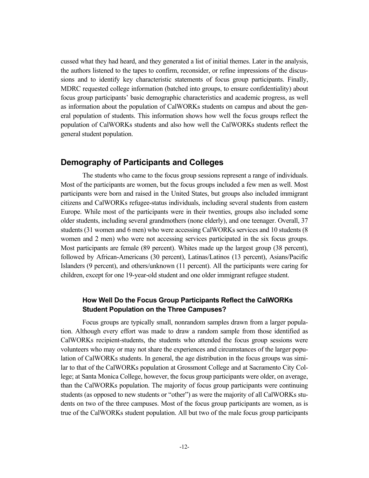cussed what they had heard, and they generated a list of initial themes. Later in the analysis, the authors listened to the tapes to confirm, reconsider, or refine impressions of the discussions and to identify key characteristic statements of focus group participants. Finally, MDRC requested college information (batched into groups, to ensure confidentiality) about focus group participants' basic demographic characteristics and academic progress, as well as information about the population of CalWORKs students on campus and about the general population of students. This information shows how well the focus groups reflect the population of CalWORKs students and also how well the CalWORKs students reflect the general student population.

## **Demography of Participants and Colleges**

The students who came to the focus group sessions represent a range of individuals. Most of the participants are women, but the focus groups included a few men as well. Most participants were born and raised in the United States, but groups also included immigrant citizens and CalWORKs refugee-status individuals, including several students from eastern Europe. While most of the participants were in their twenties, groups also included some older students, including several grandmothers (none elderly), and one teenager. Overall, 37 students (31 women and 6 men) who were accessing CalWORKs services and 10 students (8 women and 2 men) who were not accessing services participated in the six focus groups. Most participants are female (89 percent). Whites made up the largest group (38 percent), followed by African-Americans (30 percent), Latinas/Latinos (13 percent), Asians/Pacific Islanders (9 percent), and others/unknown (11 percent). All the participants were caring for children, except for one 19-year-old student and one older immigrant refugee student.

#### **How Well Do the Focus Group Participants Reflect the CalWORKs Student Population on the Three Campuses?**

Focus groups are typically small, nonrandom samples drawn from a larger population. Although every effort was made to draw a random sample from those identified as CalWORKs recipient-students, the students who attended the focus group sessions were volunteers who may or may not share the experiences and circumstances of the larger population of CalWORKs students. In general, the age distribution in the focus groups was similar to that of the CalWORKs population at Grossmont College and at Sacramento City College; at Santa Monica College, however, the focus group participants were older, on average, than the CalWORKs population. The majority of focus group participants were continuing students (as opposed to new students or "other") as were the majority of all CalWORKs students on two of the three campuses. Most of the focus group participants are women, as is true of the CalWORKs student population. All but two of the male focus group participants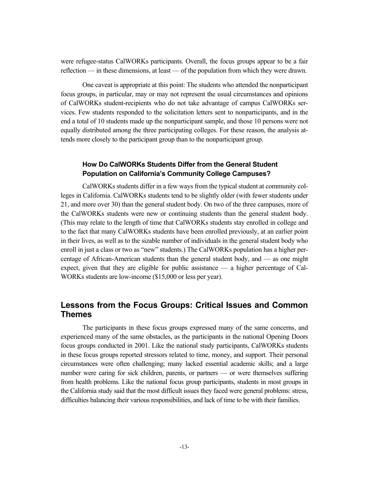were refugee-status CalWORKs participants. Overall, the focus groups appear to be a fair reflection — in these dimensions, at least — of the population from which they were drawn.

One caveat is appropriate at this point: The students who attended the nonparticipant focus groups, in particular, may or may not represent the usual circumstances and opinions of CalWORKs student-recipients who do not take advantage of campus CalWORKs services. Few students responded to the solicitation letters sent to nonparticipants, and in the end a total of 10 students made up the nonparticipant sample, and those 10 persons were not equally distributed among the three participating colleges. For these reason, the analysis attends more closely to the participant group than to the nonparticipant group.

#### **How Do CalWORKs Students Differ from the General Student Population on California's Community College Campuses?**

CalWORKs students differ in a few ways from the typical student at community colleges in California. CalWORKs students tend to be slightly older (with fewer students under 21, and more over 30) than the general student body. On two of the three campuses, more of the CalWORKs students were new or continuing students than the general student body. (This may relate to the length of time that CalWORKs students stay enrolled in college and to the fact that many CalWORKs students have been enrolled previously, at an earlier point in their lives, as well as to the sizable number of individuals in the general student body who enroll in just a class or two as "new" students.) The CalWORKs population has a higher percentage of African-American students than the general student body, and — as one might expect, given that they are eligible for public assistance — a higher percentage of Cal-WORKs students are low-income (\$15,000 or less per year).

## **Lessons from the Focus Groups: Critical Issues and Common Themes**

The participants in these focus groups expressed many of the same concerns, and experienced many of the same obstacles, as the participants in the national Opening Doors focus groups conducted in 2001. Like the national study participants, CalWORKs students in these focus groups reported stressors related to time, money, and support. Their personal circumstances were often challenging; many lacked essential academic skills; and a large number were caring for sick children, parents, or partners — or were themselves suffering from health problems. Like the national focus group participants, students in most groups in the California study said that the most difficult issues they faced were general problems: stress, difficulties balancing their various responsibilities, and lack of time to be with their families.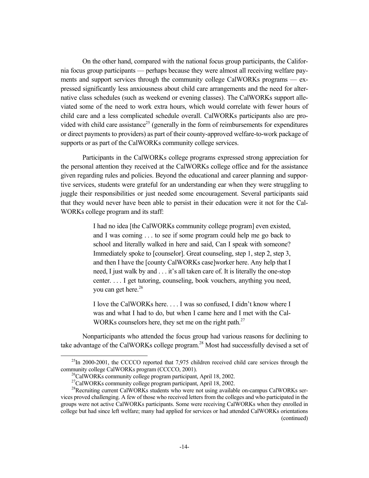On the other hand, compared with the national focus group participants, the California focus group participants — perhaps because they were almost all receiving welfare payments and support services through the community college CalWORKs programs — expressed significantly less anxiousness about child care arrangements and the need for alternative class schedules (such as weekend or evening classes). The CalWORKs support alleviated some of the need to work extra hours, which would correlate with fewer hours of child care and a less complicated schedule overall. CalWORKs participants also are provided with child care assistance<sup>25</sup> (generally in the form of reimbursements for expenditures or direct payments to providers) as part of their county-approved welfare-to-work package of supports or as part of the CalWORKs community college services.

Participants in the CalWORKs college programs expressed strong appreciation for the personal attention they received at the CalWORKs college office and for the assistance given regarding rules and policies. Beyond the educational and career planning and supportive services, students were grateful for an understanding ear when they were struggling to juggle their responsibilities or just needed some encouragement. Several participants said that they would never have been able to persist in their education were it not for the Cal-WORKs college program and its staff:

> I had no idea [the CalWORKs community college program] even existed, and I was coming . . . to see if some program could help me go back to school and literally walked in here and said, Can I speak with someone? Immediately spoke to [counselor]. Great counseling, step 1, step 2, step 3, and then I have the [county CalWORKs case]worker here. Any help that I need, I just walk by and . . . it's all taken care of. It is literally the one-stop center. . . . I get tutoring, counseling, book vouchers, anything you need, you can get here.<sup>26</sup>

> I love the CalWORKs here. . . . I was so confused, I didn't know where I was and what I had to do, but when I came here and I met with the Cal-WORKs counselors here, they set me on the right path.<sup>27</sup>

Nonparticipants who attended the focus group had various reasons for declining to take advantage of the CalWORKs college program.<sup>28</sup> Most had successfully devised a set of

 $^{25}$ In 2000-2001, the CCCCO reported that 7,975 children received child care services through the community college CalWORKs program (CCCCO, 2001).<br><sup>26</sup>CalWORKs community college program participant, April 18, 2002.

<sup>&</sup>lt;sup>27</sup>CalWORKs community college program participant, April 18, 2002.

<sup>&</sup>lt;sup>28</sup>Recruiting current CalWORKs students who were not using available on-campus CalWORKs services proved challenging. A few of those who received letters from the colleges and who participated in the groups were not active CalWORKs participants. Some were receiving CalWORKs when they enrolled in college but had since left welfare; many had applied for services or had attended CalWORKs orientations (continued)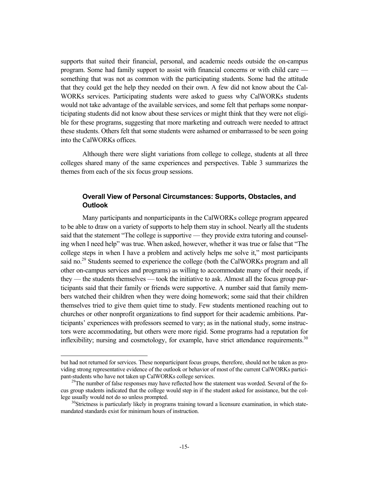supports that suited their financial, personal, and academic needs outside the on-campus program. Some had family support to assist with financial concerns or with child care something that was not as common with the participating students. Some had the attitude that they could get the help they needed on their own. A few did not know about the Cal-WORKs services. Participating students were asked to guess why CalWORKs students would not take advantage of the available services, and some felt that perhaps some nonparticipating students did not know about these services or might think that they were not eligible for these programs, suggesting that more marketing and outreach were needed to attract these students. Others felt that some students were ashamed or embarrassed to be seen going into the CalWORKs offices.

Although there were slight variations from college to college, students at all three colleges shared many of the same experiences and perspectives. Table 3 summarizes the themes from each of the six focus group sessions.

#### **Overall View of Personal Circumstances: Supports, Obstacles, and Outlook**

Many participants and nonparticipants in the CalWORKs college program appeared to be able to draw on a variety of supports to help them stay in school. Nearly all the students said that the statement "The college is supportive — they provide extra tutoring and counseling when I need help" was true. When asked, however, whether it was true or false that "The college steps in when I have a problem and actively helps me solve it," most participants said no.<sup>29</sup> Students seemed to experience the college (both the CalWORKs program and all other on-campus services and programs) as willing to accommodate many of their needs, if they — the students themselves — took the initiative to ask. Almost all the focus group participants said that their family or friends were supportive. A number said that family members watched their children when they were doing homework; some said that their children themselves tried to give them quiet time to study. Few students mentioned reaching out to churches or other nonprofit organizations to find support for their academic ambitions. Participants' experiences with professors seemed to vary; as in the national study, some instructors were accommodating, but others were more rigid. Some programs had a reputation for inflexibility; nursing and cosmetology, for example, have strict attendance requirements.<sup>30</sup>

-

but had not returned for services. These nonparticipant focus groups, therefore, should not be taken as providing strong representative evidence of the outlook or behavior of most of the current CalWORKs participant-students who have not taken up CalWORKs college services.<br><sup>29</sup>The number of false responses may have reflected how the statement was worded. Several of the fo-

cus group students indicated that the college would step in if the student asked for assistance, but the college usually would not do so unless prompted.<br><sup>30</sup>Strictness is particularly likely in programs training toward a licensure examination, in which state-

mandated standards exist for minimum hours of instruction.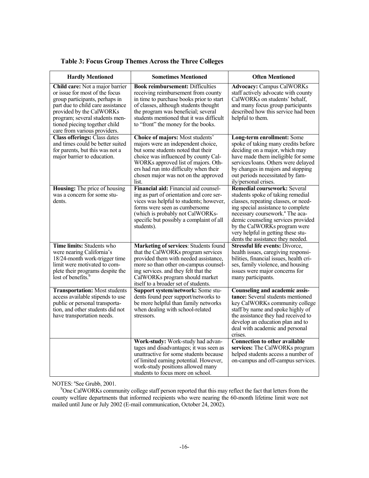| <b>Sometimes Mentioned</b><br><b>Hardly Mentioned</b>                                                                                                                                                                                                                   |                                                                                                                                                                                                                                                                                               | <b>Often Mentioned</b>                                                                                                                                                                                                                                                                                                                                 |
|-------------------------------------------------------------------------------------------------------------------------------------------------------------------------------------------------------------------------------------------------------------------------|-----------------------------------------------------------------------------------------------------------------------------------------------------------------------------------------------------------------------------------------------------------------------------------------------|--------------------------------------------------------------------------------------------------------------------------------------------------------------------------------------------------------------------------------------------------------------------------------------------------------------------------------------------------------|
| Child care: Not a major barrier<br>or issue for most of the focus<br>group participants, perhaps in<br>part due to child care assistance<br>provided by the CalWORKs<br>program; several students men-<br>tioned piecing together child<br>care from various providers. | <b>Book reimbursement: Difficulties</b><br>receiving reimbursement from county<br>in time to purchase books prior to start<br>of classes, although students thought<br>the program was beneficial; several<br>students mentioned that it was difficult<br>to "front" the money for the books. | <b>Advocacy: Campus CalWORKs</b><br>staff actively advocate with county<br>CalWORKs on students' behalf,<br>and many focus group participants<br>described how this service had been<br>helpful to them.                                                                                                                                               |
| <b>Class offerings: Class dates</b><br>and times could be better suited<br>for parents, but this was not a<br>major barrier to education.                                                                                                                               | Choice of majors: Most students'<br>majors were an independent choice,<br>but some students noted that their<br>choice was influenced by county Cal-<br>WORKs approved list of majors. Oth-<br>ers had run into difficulty when their<br>chosen major was not on the approved<br>list.        | Long-term enrollment: Some<br>spoke of taking many credits before<br>deciding on a major, which may<br>have made them ineligible for some<br>services/loans. Others were delayed<br>by changes in majors and stopping<br>out periods necessitated by fam-<br>ily/personal crises.                                                                      |
| <b>Housing:</b> The price of housing<br>was a concern for some stu-<br>dents.                                                                                                                                                                                           | Financial aid: Financial aid counsel-<br>ing as part of orientation and core ser-<br>vices was helpful to students; however,<br>forms were seen as cumbersome<br>(which is probably not CalWORKs-<br>specific but possibly a complaint of all<br>students).                                   | <b>Remedial coursework: Several</b><br>students spoke of taking remedial<br>classes, repeating classes, or need-<br>ing special assistance to complete<br>necessary coursework. <sup>a</sup> The aca-<br>demic counseling services provided<br>by the CalWORKs program were<br>very helpful in getting these stu-<br>dents the assistance they needed. |
| Time limits: Students who<br>were nearing California's<br>18/24-month work-trigger time<br>limit were motivated to com-<br>plete their programs despite the<br>lost of benefits. <sup>b</sup>                                                                           | Marketing of services: Students found<br>that the CalWORKs program services<br>provided them with needed assistance,<br>more so than other on-campus counsel-<br>ing services. and they felt that the<br>CalWORKs program should market<br>itself to a broader set of students.               | <b>Stressful life events: Divorce,</b><br>health issues, caregiving responsi-<br>bilities, financial issues, health cri-<br>ses, family violence, and housing<br>issues were major concerns for<br>many participants.                                                                                                                                  |
| <b>Transportation:</b> Most students<br>access available stipends to use<br>public or personal transporta-<br>tion, and other students did not<br>have transportation needs.                                                                                            | Support system/network: Some stu-<br>dents found peer support/networks to<br>be more helpful than family networks<br>when dealing with school-related<br>stressors.                                                                                                                           | <b>Counseling and academic assis-</b><br><b>tance:</b> Several students mentioned<br>key CalWORKs community college<br>staff by name and spoke highly of<br>the assistance they had received to<br>develop an education plan and to<br>deal with academic and personal<br>crises.                                                                      |
|                                                                                                                                                                                                                                                                         | Work-study: Work-study had advan-<br>tages and disadvantages; it was seen as<br>unattractive for some students because<br>of limited earning potential. However,<br>work-study positions allowed many<br>students to focus more on school.                                                    | <b>Connection to other available</b><br>services: The CalWORKs program<br>helped students access a number of<br>on-campus and off-campus services.                                                                                                                                                                                                     |

#### **Table 3: Focus Group Themes Across the Three Colleges**

NOTES: <sup>a</sup>See Grubb, 2001.

<sup>b</sup>One CalWORKs community college staff person reported that this may reflect the fact that letters from the county welfare departments that informed recipients who were nearing the 60-month lifetime limit were not mailed until June or July 2002 (E-mail communication, October 24, 2002).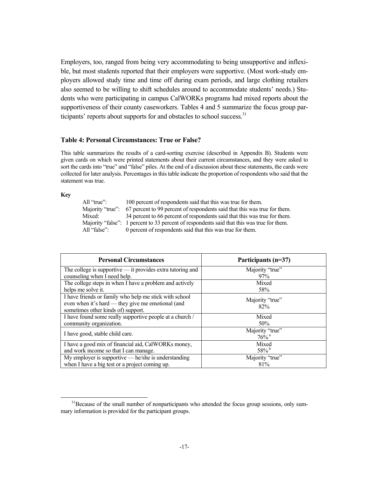Employers, too, ranged from being very accommodating to being unsupportive and inflexible, but most students reported that their employers were supportive. (Most work-study employers allowed study time and time off during exam periods, and large clothing retailers also seemed to be willing to shift schedules around to accommodate students' needs.) Students who were participating in campus CalWORKs programs had mixed reports about the supportiveness of their county caseworkers. Tables 4 and 5 summarize the focus group participants' reports about supports for and obstacles to school success.<sup>31</sup>

#### **Table 4: Personal Circumstances: True or False?**

This table summarizes the results of a card-sorting exercise (described in Appendix B). Students were given cards on which were printed statements about their current circumstances, and they were asked to sort the cards into "true" and "false" piles. At the end of a discussion about these statements, the cards were collected for later analysis. Percentages in this table indicate the proportion of respondents who said that the statement was true.

#### **Key**

| All "true":      | 100 percent of respondents said that this was true for them.                               |
|------------------|--------------------------------------------------------------------------------------------|
| Maiority "true": | 67 percent to 99 percent of respondents said that this was true for them.                  |
| Mixed:           | 34 percent to 66 percent of respondents said that this was true for them.                  |
|                  | Majority "false": 1 percent to 33 percent of respondents said that this was true for them. |
| All "false":     | 0 percent of respondents said that this was true for them.                                 |

| <b>Personal Circumstances</b>                                | Participants (n=37) |
|--------------------------------------------------------------|---------------------|
| The college is supportive $-$ it provides extra tutoring and | Majority "true"     |
| counseling when I need help.                                 | 97%                 |
| The college steps in when I have a problem and actively      | Mixed               |
| helps me solve it.                                           | 58%                 |
| I have friends or family who help me stick with school       | Majority "true"     |
| even when it's hard — they give me emotional (and            | 82%                 |
| sometimes other kinds of) support.                           |                     |
| I have found some really supportive people at a church /     | Mixed               |
| community organization.                                      | 50%                 |
| I have good, stable child care.                              | Majority "true"     |
|                                                              | $76\%$ <sup>a</sup> |
| I have a good mix of financial aid, CalWORKs money,          | Mixed               |
| and work income so that I can manage.                        | $58\%$ <sup>b</sup> |
| My employer is supportive $-$ he/she is understanding        | Majority "true"     |
| when I have a big test or a project coming up.               | 81%                 |

<sup>&</sup>lt;sup>31</sup>Because of the small number of nonparticipants who attended the focus group sessions, only summary information is provided for the participant groups.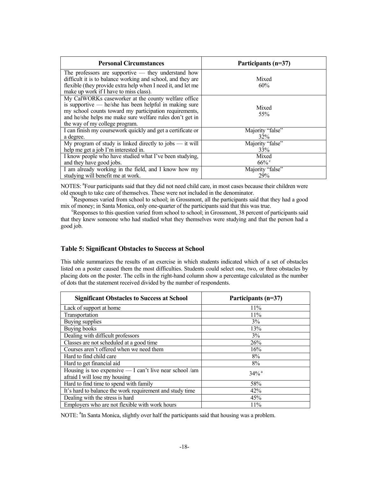| <b>Personal Circumstances</b>                                                                                                                                                                                                                                           | Participants (n=37) |
|-------------------------------------------------------------------------------------------------------------------------------------------------------------------------------------------------------------------------------------------------------------------------|---------------------|
| The professors are supportive $-$ they understand how<br>difficult it is to balance working and school, and they are<br>flexible (they provide extra help when I need it, and let me<br>make up work if I have to miss class).                                          | Mixed<br>60%        |
| My CalWORKs caseworker at the county welfare office<br>is supportive $-$ he/she has been helpful in making sure<br>my school counts toward my participation requirements,<br>and he/she helps me make sure welfare rules don't get in<br>the way of my college program. | Mixed<br>55%        |
| I can finish my coursework quickly and get a certificate or                                                                                                                                                                                                             | Majority "false"    |
| a degree.                                                                                                                                                                                                                                                               | $32\%$              |
| My program of study is linked directly to jobs $-$ it will                                                                                                                                                                                                              | Majority "false"    |
| help me get a job I'm interested in.                                                                                                                                                                                                                                    | 33%                 |
| I know people who have studied what I've been studying,                                                                                                                                                                                                                 | Mixed               |
| and they have good jobs.                                                                                                                                                                                                                                                | $66\%$              |
| I am already working in the field, and I know how my                                                                                                                                                                                                                    | Majority "false"    |
| studying will benefit me at work.                                                                                                                                                                                                                                       | 29%                 |

NOTES: <sup>a</sup>Four participants said that they did not need child care, in most cases because their children were old enough to take care of themselves. These were not included in the denominator. b

<sup>b</sup>Responses varied from school to school; in Grossmont, all the participants said that they had a good mix of money; in Santa Monica, only one-quarter of the participants said that this was true.

<sup>c</sup>Responses to this question varied from school to school; in Grossmont, 38 percent of participants said that they knew someone who had studied what they themselves were studying and that the person had a good job.

#### **Table 5: Significant Obstacles to Success at School**

This table summarizes the results of an exercise in which students indicated which of a set of obstacles listed on a poster caused them the most difficulties. Students could select one, two, or three obstacles by placing dots on the poster. The cells in the right-hand column show a percentage calculated as the number of dots that the statement received divided by the number of respondents.

| <b>Significant Obstacles to Success at School</b>                                          | Participants (n=37) |
|--------------------------------------------------------------------------------------------|---------------------|
| Lack of support at home                                                                    | 11%                 |
| Transportation                                                                             | 11%                 |
| Buying supplies                                                                            | 3%                  |
| <b>Buying books</b>                                                                        | 13%                 |
| Dealing with difficult professors                                                          | 3%                  |
| Classes are not scheduled at a good time                                                   | 26%                 |
| Courses aren't offered when we need them                                                   | 16%                 |
| Hard to find child care                                                                    | 8%                  |
| Hard to get financial aid                                                                  | 8%                  |
| Housing is too expensive $-$ I can't live near school /am<br>afraid I will lose my housing | $34\%$ <sup>a</sup> |
| Hard to find time to spend with family                                                     | 58%                 |
| It's hard to balance the work requirement and study time                                   | 42%                 |
| Dealing with the stress is hard                                                            | 45%                 |
| Employers who are not flexible with work hours                                             | 11%                 |

NOTE: <sup>a</sup>In Santa Monica, slightly over half the participants said that housing was a problem.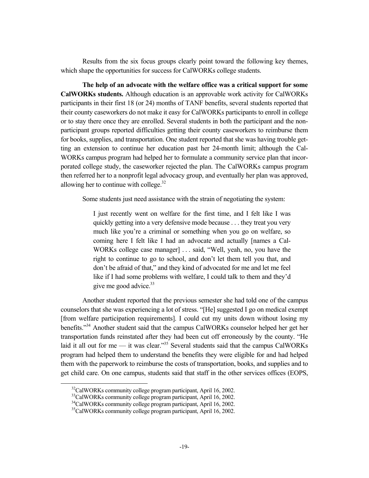Results from the six focus groups clearly point toward the following key themes, which shape the opportunities for success for CalWORKs college students.

**The help of an advocate with the welfare office was a critical support for some CalWORKs students.** Although education is an approvable work activity for CalWORKs participants in their first 18 (or 24) months of TANF benefits, several students reported that their county caseworkers do not make it easy for CalWORKs participants to enroll in college or to stay there once they are enrolled. Several students in both the participant and the nonparticipant groups reported difficulties getting their county caseworkers to reimburse them for books, supplies, and transportation. One student reported that she was having trouble getting an extension to continue her education past her 24-month limit; although the Cal-WORKs campus program had helped her to formulate a community service plan that incorporated college study, the caseworker rejected the plan. The CalWORKs campus program then referred her to a nonprofit legal advocacy group, and eventually her plan was approved, allowing her to continue with college.32

Some students just need assistance with the strain of negotiating the system:

I just recently went on welfare for the first time, and I felt like I was quickly getting into a very defensive mode because . . . they treat you very much like you're a criminal or something when you go on welfare, so coming here I felt like I had an advocate and actually [names a Cal-WORKs college case manager] . . . said, "Well, yeah, no, you have the right to continue to go to school, and don't let them tell you that, and don't be afraid of that," and they kind of advocated for me and let me feel like if I had some problems with welfare, I could talk to them and they'd give me good advice.<sup>33</sup>

Another student reported that the previous semester she had told one of the campus counselors that she was experiencing a lot of stress. "[He] suggested I go on medical exempt [from welfare participation requirements]. I could cut my units down without losing my benefits."34 Another student said that the campus CalWORKs counselor helped her get her transportation funds reinstated after they had been cut off erroneously by the county. "He laid it all out for me — it was clear."<sup>35</sup> Several students said that the campus CalWORKs program had helped them to understand the benefits they were eligible for and had helped them with the paperwork to reimburse the costs of transportation, books, and supplies and to get child care. On one campus, students said that staff in the other services offices (EOPS,

<sup>&</sup>lt;sup>32</sup>CalWORKs community college program participant, April 16, 2002.

<sup>&</sup>lt;sup>33</sup>CalWORKs community college program participant, April 16, 2002.

<sup>34</sup>CalWORKs community college program participant, April 16, 2002.

<sup>&</sup>lt;sup>35</sup>CalWORKs community college program participant, April 16, 2002.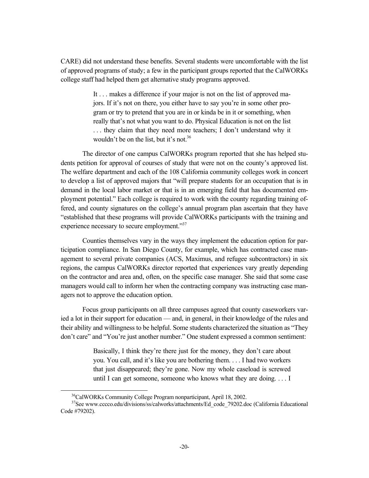CARE) did not understand these benefits. Several students were uncomfortable with the list of approved programs of study; a few in the participant groups reported that the CalWORKs college staff had helped them get alternative study programs approved.

> It . . . makes a difference if your major is not on the list of approved majors. If it's not on there, you either have to say you're in some other program or try to pretend that you are in or kinda be in it or something, when really that's not what you want to do. Physical Education is not on the list ... they claim that they need more teachers; I don't understand why it wouldn't be on the list, but it's not.<sup>36</sup>

The director of one campus CalWORKs program reported that she has helped students petition for approval of courses of study that were not on the county's approved list. The welfare department and each of the 108 California community colleges work in concert to develop a list of approved majors that "will prepare students for an occupation that is in demand in the local labor market or that is in an emerging field that has documented employment potential." Each college is required to work with the county regarding training offered, and county signatures on the college's annual program plan ascertain that they have "established that these programs will provide CalWORKs participants with the training and experience necessary to secure employment."<sup>37</sup>

Counties themselves vary in the ways they implement the education option for participation compliance. In San Diego County, for example, which has contracted case management to several private companies (ACS, Maximus, and refugee subcontractors) in six regions, the campus CalWORKs director reported that experiences vary greatly depending on the contractor and area and, often, on the specific case manager. She said that some case managers would call to inform her when the contracting company was instructing case managers not to approve the education option.

Focus group participants on all three campuses agreed that county caseworkers varied a lot in their support for education — and, in general, in their knowledge of the rules and their ability and willingness to be helpful. Some students characterized the situation as "They don't care" and "You're just another number." One student expressed a common sentiment:

> Basically, I think they're there just for the money, they don't care about you. You call, and it's like you are bothering them. . . . I had two workers that just disappeared; they're gone. Now my whole caseload is screwed until I can get someone, someone who knows what they are doing. . . . I

 <sup>36</sup>CalWORKs Community College Program nonparticipant, April 18, 2002.

<sup>&</sup>lt;sup>37</sup>See www.cccco.edu/divisions/ss/calworks/attachments/Ed\_code\_79202.doc (California Educational Code #79202).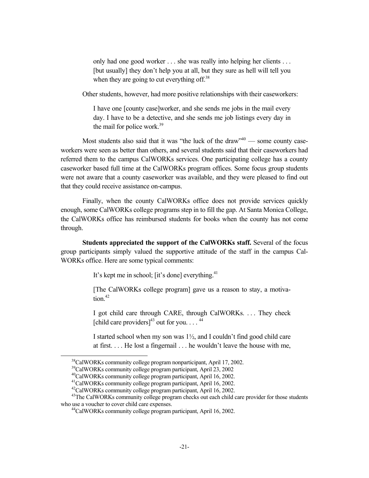only had one good worker . . . she was really into helping her clients . . . [but usually] they don't help you at all, but they sure as hell will tell you when they are going to cut everything off. $38$ 

Other students, however, had more positive relationships with their caseworkers:

I have one [county case]worker, and she sends me jobs in the mail every day. I have to be a detective, and she sends me job listings every day in the mail for police work.<sup>39</sup>

Most students also said that it was "the luck of the draw" $40 -$  some county caseworkers were seen as better than others, and several students said that their caseworkers had referred them to the campus CalWORKs services. One participating college has a county caseworker based full time at the CalWORKs program offices. Some focus group students were not aware that a county caseworker was available, and they were pleased to find out that they could receive assistance on-campus.

Finally, when the county CalWORKs office does not provide services quickly enough, some CalWORKs college programs step in to fill the gap. At Santa Monica College, the CalWORKs office has reimbursed students for books when the county has not come through.

**Students appreciated the support of the CalWORKs staff.** Several of the focus group participants simply valued the supportive attitude of the staff in the campus Cal-WORKs office. Here are some typical comments:

It's kept me in school; [it's done] everything. $41$ 

[The CalWORKs college program] gave us a reason to stay, a motivation. $42$ 

I got child care through CARE, through CalWORKs. . . . They check [child care providers]<sup>43</sup> out for you....<sup>44</sup>

I started school when my son was 1½, and I couldn't find good child care at first. . . . He lost a fingernail . . . he wouldn't leave the house with me,

 <sup>38</sup>CalWORKs community college program nonparticipant, April 17, 2002.

<sup>39</sup>CalWORKs community college program participant, April 23, 2002

<sup>40</sup>CalWORKs community college program participant, April 16, 2002.

<sup>41</sup>CalWORKs community college program participant, April 16, 2002.

<sup>42</sup>CalWORKs community college program participant, April 16, 2002.

<sup>&</sup>lt;sup>43</sup>The CalWORKs community college program checks out each child care provider for those students who use a voucher to cover child care expenses.<br><sup>44</sup>CalWORKs community college program participant, April 16, 2002.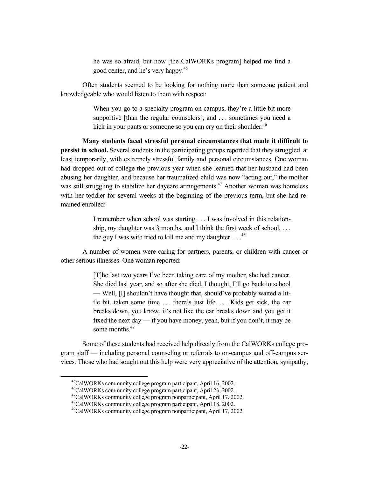he was so afraid, but now [the CalWORKs program] helped me find a good center, and he's very happy.<sup>45</sup>

Often students seemed to be looking for nothing more than someone patient and knowledgeable who would listen to them with respect:

> When you go to a specialty program on campus, they're a little bit more supportive [than the regular counselors], and . . . sometimes you need a kick in your pants or someone so you can cry on their shoulder.<sup>46</sup>

**Many students faced stressful personal circumstances that made it difficult to persist in school.** Several students in the participating groups reported that they struggled, at least temporarily, with extremely stressful family and personal circumstances. One woman had dropped out of college the previous year when she learned that her husband had been abusing her daughter, and because her traumatized child was now "acting out," the mother was still struggling to stabilize her daycare arrangements.<sup>47</sup> Another woman was homeless with her toddler for several weeks at the beginning of the previous term, but she had remained enrolled:

> I remember when school was starting . . . I was involved in this relationship, my daughter was 3 months, and I think the first week of school, . . . the guy I was with tried to kill me and my daughter.  $\ldots$ <sup>48</sup>

A number of women were caring for partners, parents, or children with cancer or other serious illnesses. One woman reported:

> [T]he last two years I've been taking care of my mother, she had cancer. She died last year, and so after she died, I thought, I'll go back to school — Well, [I] shouldn't have thought that, should've probably waited a little bit, taken some time . . . there's just life. . . . Kids get sick, the car breaks down, you know, it's not like the car breaks down and you get it fixed the next day — if you have money, yeah, but if you don't, it may be some months.<sup>49</sup>

Some of these students had received help directly from the CalWORKs college program staff — including personal counseling or referrals to on-campus and off-campus services. Those who had sought out this help were very appreciative of the attention, sympathy,

 <sup>45</sup>CalWORKs community college program participant, April 16, 2002.

<sup>46</sup>CalWORKs community college program participant, April 23, 2002.

<sup>47</sup>CalWORKs community college program nonparticipant, April 17, 2002.

<sup>48</sup>CalWORKs community college program participant, April 18, 2002.

<sup>49</sup>CalWORKs community college program nonparticipant, April 17, 2002.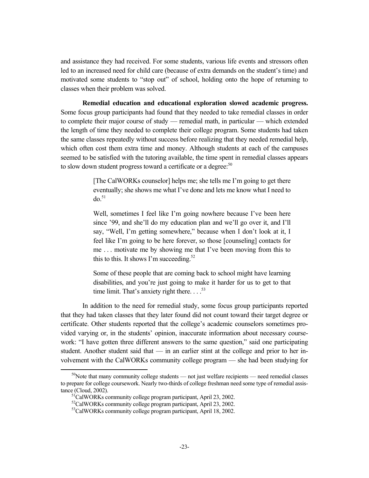and assistance they had received. For some students, various life events and stressors often led to an increased need for child care (because of extra demands on the student's time) and motivated some students to "stop out" of school, holding onto the hope of returning to classes when their problem was solved.

**Remedial education and educational exploration slowed academic progress.** Some focus group participants had found that they needed to take remedial classes in order to complete their major course of study — remedial math, in particular — which extended the length of time they needed to complete their college program. Some students had taken the same classes repeatedly without success before realizing that they needed remedial help, which often cost them extra time and money. Although students at each of the campuses seemed to be satisfied with the tutoring available, the time spent in remedial classes appears to slow down student progress toward a certificate or a degree:<sup>50</sup>

> [The CalWORKs counselor] helps me; she tells me I'm going to get there eventually; she shows me what I've done and lets me know what I need to  $d\rho$ .<sup>51</sup>

> Well, sometimes I feel like I'm going nowhere because I've been here since '99, and she'll do my education plan and we'll go over it, and I'll say, "Well, I'm getting somewhere," because when I don't look at it, I feel like I'm going to be here forever, so those [counseling] contacts for me . . . motivate me by showing me that I've been moving from this to this to this. It shows I'm succeeding.<sup>52</sup>

> Some of these people that are coming back to school might have learning disabilities, and you're just going to make it harder for us to get to that time limit. That's anxiety right there.  $\ldots$ <sup>53</sup>

In addition to the need for remedial study, some focus group participants reported that they had taken classes that they later found did not count toward their target degree or certificate. Other students reported that the college's academic counselors sometimes provided varying or, in the students' opinion, inaccurate information about necessary coursework: "I have gotten three different answers to the same question," said one participating student. Another student said that — in an earlier stint at the college and prior to her involvement with the CalWORKs community college program — she had been studying for

 $50$ Note that many community college students — not just welfare recipients — need remedial classes to prepare for college coursework. Nearly two-thirds of college freshman need some type of remedial assistance (Cloud, 2002).  $51$ CalWORKs community college program participant, April 23, 2002.

<sup>52</sup>CalWORKs community college program participant, April 23, 2002.

<sup>&</sup>lt;sup>53</sup>CalWORKs community college program participant, April 18, 2002.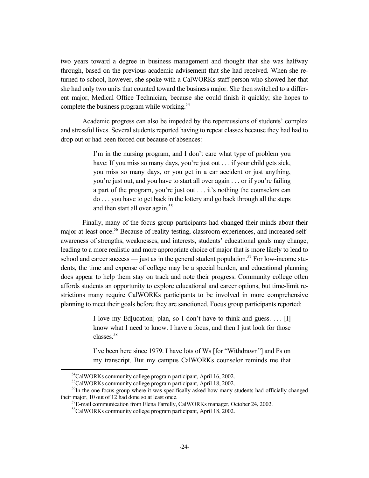two years toward a degree in business management and thought that she was halfway through, based on the previous academic advisement that she had received. When she returned to school, however, she spoke with a CalWORKs staff person who showed her that she had only two units that counted toward the business major. She then switched to a different major, Medical Office Technician, because she could finish it quickly; she hopes to complete the business program while working.<sup>54</sup>

Academic progress can also be impeded by the repercussions of students' complex and stressful lives. Several students reported having to repeat classes because they had had to drop out or had been forced out because of absences:

> I'm in the nursing program, and I don't care what type of problem you have: If you miss so many days, you're just out . . . if your child gets sick, you miss so many days, or you get in a car accident or just anything, you're just out, and you have to start all over again . . . or if you're failing a part of the program, you're just out . . . it's nothing the counselors can do . . . you have to get back in the lottery and go back through all the steps and then start all over again.<sup>55</sup>

Finally, many of the focus group participants had changed their minds about their major at least once.<sup>56</sup> Because of reality-testing, classroom experiences, and increased selfawareness of strengths, weaknesses, and interests, students' educational goals may change, leading to a more realistic and more appropriate choice of major that is more likely to lead to school and career success — just as in the general student population.<sup>57</sup> For low-income students, the time and expense of college may be a special burden, and educational planning does appear to help them stay on track and note their progress. Community college often affords students an opportunity to explore educational and career options, but time-limit restrictions many require CalWORKs participants to be involved in more comprehensive planning to meet their goals before they are sanctioned. Focus group participants reported:

> I love my Ed[ucation] plan, so I don't have to think and guess. . . . [I] know what I need to know. I have a focus, and then I just look for those classes.58

> I've been here since 1979. I have lots of Ws [for "Withdrawn"] and Fs on my transcript. But my campus CalWORKs counselor reminds me that

<sup>&</sup>lt;sup>54</sup>CalWORKs community college program participant, April 16, 2002.

<sup>55</sup>CalWORKs community college program participant, April 18, 2002.

<sup>&</sup>lt;sup>56</sup>In the one focus group where it was specifically asked how many students had officially changed their major, 10 out of 12 had done so at least once.<br><sup>57</sup>E-mail communication from Elena Farrelly, CalWORKs manager, October 24, 2002.

<sup>58</sup>CalWORKs community college program participant, April 18, 2002.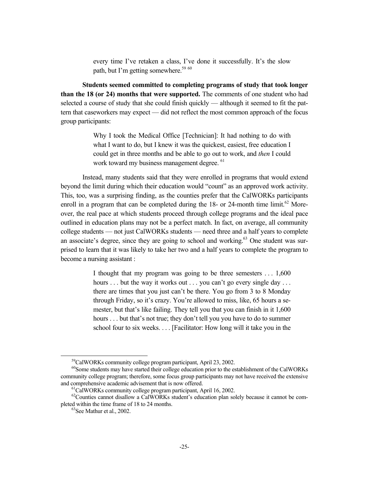every time I've retaken a class, I've done it successfully. It's the slow path, but I'm getting somewhere.<sup>59 60</sup>

**Students seemed committed to completing programs of study that took longer than the 18 (or 24) months that were supported.** The comments of one student who had selected a course of study that she could finish quickly — although it seemed to fit the pattern that caseworkers may expect — did not reflect the most common approach of the focus group participants:

> Why I took the Medical Office [Technician]: It had nothing to do with what I want to do, but I knew it was the quickest, easiest, free education I could get in three months and be able to go out to work, and *then* I could work toward my business management degree. <sup>61</sup>

Instead, many students said that they were enrolled in programs that would extend beyond the limit during which their education would "count" as an approved work activity. This, too, was a surprising finding, as the counties prefer that the CalWORKs participants enroll in a program that can be completed during the  $18$ - or  $24$ -month time limit.<sup>62</sup> Moreover, the real pace at which students proceed through college programs and the ideal pace outlined in education plans may not be a perfect match. In fact, on average, all community college students — not just CalWORKs students — need three and a half years to complete an associate's degree, since they are going to school and working.<sup>63</sup> One student was surprised to learn that it was likely to take her two and a half years to complete the program to become a nursing assistant :

> I thought that my program was going to be three semesters . . . 1,600 hours ... but the way it works out ... you can't go every single day ... there are times that you just can't be there. You go from 3 to 8 Monday through Friday, so it's crazy. You're allowed to miss, like, 65 hours a semester, but that's like failing. They tell you that you can finish in it 1,600 hours . . . but that's not true; they don't tell you you have to do to summer school four to six weeks. . . . [Facilitator: How long will it take you in the

 <sup>59</sup>CalWORKs community college program participant, April 23, 2002.

<sup>&</sup>lt;sup>60</sup>Some students may have started their college education prior to the establishment of the CalWORKs community college program; therefore, some focus group participants may not have received the extensive and comprehensive academic advisement that is now offered. 61CalWORKs community college program participant, April 16, 2002.

 $62$ Counties cannot disallow a CalWORKs student's education plan solely because it cannot be completed within the time frame of 18 to 24 months.<br><sup>63</sup>See Mathur et al., 2002.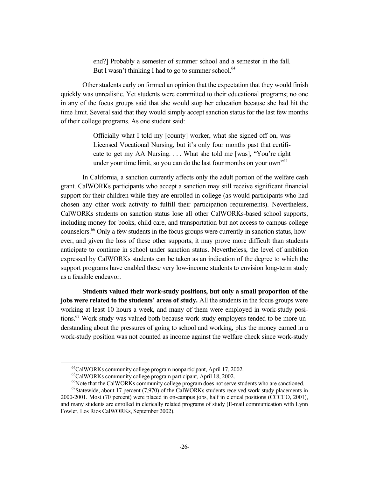end?] Probably a semester of summer school and a semester in the fall. But I wasn't thinking I had to go to summer school. $64$ 

Other students early on formed an opinion that the expectation that they would finish quickly was unrealistic. Yet students were committed to their educational programs; no one in any of the focus groups said that she would stop her education because she had hit the time limit. Several said that they would simply accept sanction status for the last few months of their college programs. As one student said:

> Officially what I told my [county] worker, what she signed off on, was Licensed Vocational Nursing, but it's only four months past that certificate to get my AA Nursing. . . . What she told me [was], "You're right under your time limit, so you can do the last four months on your own<sup>"65</sup>

In California, a sanction currently affects only the adult portion of the welfare cash grant. CalWORKs participants who accept a sanction may still receive significant financial support for their children while they are enrolled in college (as would participants who had chosen any other work activity to fulfill their participation requirements). Nevertheless, CalWORKs students on sanction status lose all other CalWORKs-based school supports, including money for books, child care, and transportation but not access to campus college counselors.66 Only a few students in the focus groups were currently in sanction status, however, and given the loss of these other supports, it may prove more difficult than students anticipate to continue in school under sanction status. Nevertheless, the level of ambition expressed by CalWORKs students can be taken as an indication of the degree to which the support programs have enabled these very low-income students to envision long-term study as a feasible endeavor.

**Students valued their work-study positions, but only a small proportion of the jobs were related to the students' areas of study.** All the students in the focus groups were working at least 10 hours a week, and many of them were employed in work-study positions.<sup>67</sup> Work-study was valued both because work-study employers tended to be more understanding about the pressures of going to school and working, plus the money earned in a work-study position was not counted as income against the welfare check since work-study

<sup>&</sup>lt;sup>64</sup>CalWORKs community college program nonparticipant, April 17, 2002.

<sup>65</sup>CalWORKs community college program participant, April 18, 2002.

<sup>&</sup>lt;sup>66</sup>Note that the CalWORKs community college program does not serve students who are sanctioned.

 $67$ Statewide, about 17 percent (7,970) of the CalWORKs students received work-study placements in 2000-2001. Most (70 percent) were placed in on-campus jobs, half in clerical positions (CCCCO, 2001), and many students are enrolled in clerically related programs of study (E-mail communication with Lynn Fowler, Los Rios CalWORKs, September 2002).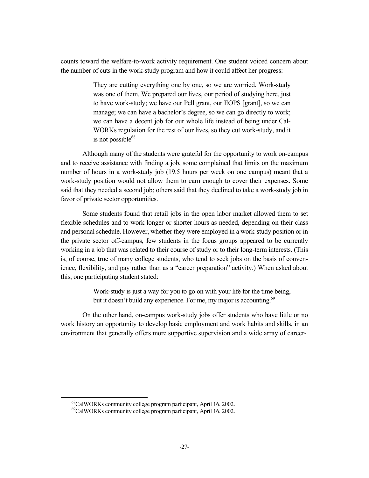counts toward the welfare-to-work activity requirement. One student voiced concern about the number of cuts in the work-study program and how it could affect her progress:

> They are cutting everything one by one, so we are worried. Work-study was one of them. We prepared our lives, our period of studying here, just to have work-study; we have our Pell grant, our EOPS [grant], so we can manage; we can have a bachelor's degree, so we can go directly to work; we can have a decent job for our whole life instead of being under Cal-WORKs regulation for the rest of our lives, so they cut work-study, and it is not possible $68$

Although many of the students were grateful for the opportunity to work on-campus and to receive assistance with finding a job, some complained that limits on the maximum number of hours in a work-study job (19.5 hours per week on one campus) meant that a work-study position would not allow them to earn enough to cover their expenses. Some said that they needed a second job; others said that they declined to take a work-study job in favor of private sector opportunities.

Some students found that retail jobs in the open labor market allowed them to set flexible schedules and to work longer or shorter hours as needed, depending on their class and personal schedule. However, whether they were employed in a work-study position or in the private sector off-campus, few students in the focus groups appeared to be currently working in a job that was related to their course of study or to their long-term interests. (This is, of course, true of many college students, who tend to seek jobs on the basis of convenience, flexibility, and pay rather than as a "career preparation" activity.) When asked about this, one participating student stated:

> Work-study is just a way for you to go on with your life for the time being, but it doesn't build any experience. For me, my major is accounting.<sup>69</sup>

On the other hand, on-campus work-study jobs offer students who have little or no work history an opportunity to develop basic employment and work habits and skills, in an environment that generally offers more supportive supervision and a wide array of career-

 <sup>68</sup>CalWORKs community college program participant, April 16, 2002.

<sup>69</sup>CalWORKs community college program participant, April 16, 2002.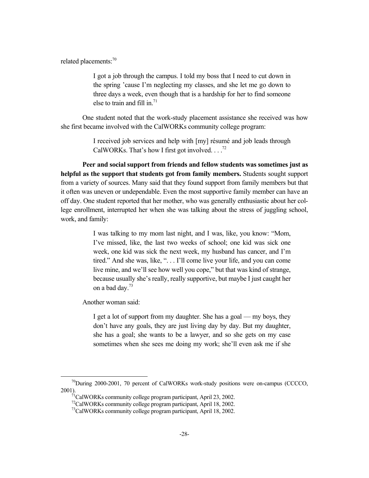related placements:<sup>70</sup>

I got a job through the campus. I told my boss that I need to cut down in the spring 'cause I'm neglecting my classes, and she let me go down to three days a week, even though that is a hardship for her to find someone else to train and fill in.<sup>71</sup>

One student noted that the work-study placement assistance she received was how she first became involved with the CalWORKs community college program:

> I received job services and help with [my] résumé and job leads through CalWORKs. That's how I first got involved. . . .<sup>72</sup>

**Peer and social support from friends and fellow students was sometimes just as helpful as the support that students got from family members.** Students sought support from a variety of sources. Many said that they found support from family members but that it often was uneven or undependable. Even the most supportive family member can have an off day. One student reported that her mother, who was generally enthusiastic about her college enrollment, interrupted her when she was talking about the stress of juggling school, work, and family:

> I was talking to my mom last night, and I was, like, you know: "Mom, I've missed, like, the last two weeks of school; one kid was sick one week, one kid was sick the next week, my husband has cancer, and I'm tired." And she was, like, ". . . I'll come live your life, and you can come live mine, and we'll see how well you cope," but that was kind of strange, because usually she's really, really supportive, but maybe I just caught her on a bad day.<sup>73</sup>

Another woman said:

I get a lot of support from my daughter. She has a goal — my boys, they don't have any goals, they are just living day by day. But my daughter, she has a goal; she wants to be a lawyer, and so she gets on my case sometimes when she sees me doing my work; she'll even ask me if she

 $^{70}$ During 2000-2001, 70 percent of CalWORKs work-study positions were on-campus (CCCCO, 2001).<br><sup>71</sup>CalWORKs community college program participant, April 23, 2002.

<sup>72</sup>CalWORKs community college program participant, April 18, 2002.

<sup>&</sup>lt;sup>73</sup>CalWORKs community college program participant, April 18, 2002.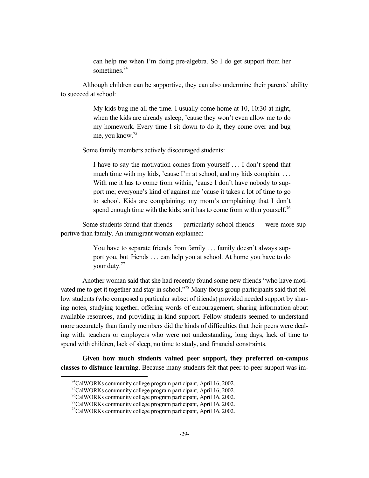can help me when I'm doing pre-algebra. So I do get support from her sometimes<sup>74</sup>

Although children can be supportive, they can also undermine their parents' ability to succeed at school:

> My kids bug me all the time. I usually come home at 10, 10:30 at night, when the kids are already asleep, 'cause they won't even allow me to do my homework. Every time I sit down to do it, they come over and bug me, you know.75

Some family members actively discouraged students:

I have to say the motivation comes from yourself . . . I don't spend that much time with my kids, 'cause I'm at school, and my kids complain. . . . With me it has to come from within, 'cause I don't have nobody to support me; everyone's kind of against me 'cause it takes a lot of time to go to school. Kids are complaining; my mom's complaining that I don't spend enough time with the kids; so it has to come from within yourself.<sup>76</sup>

Some students found that friends — particularly school friends — were more supportive than family. An immigrant woman explained:

> You have to separate friends from family . . . family doesn't always support you, but friends . . . can help you at school. At home you have to do your duty.77

Another woman said that she had recently found some new friends "who have motivated me to get it together and stay in school."<sup>78</sup> Many focus group participants said that fellow students (who composed a particular subset of friends) provided needed support by sharing notes, studying together, offering words of encouragement, sharing information about available resources, and providing in-kind support. Fellow students seemed to understand more accurately than family members did the kinds of difficulties that their peers were dealing with: teachers or employers who were not understanding, long days, lack of time to spend with children, lack of sleep, no time to study, and financial constraints.

**Given how much students valued peer support, they preferred on-campus classes to distance learning.** Because many students felt that peer-to-peer support was im-

 <sup>74</sup>CalWORKs community college program participant, April 16, 2002.

<sup>75</sup>CalWORKs community college program participant, April 16, 2002.

<sup>76</sup>CalWORKs community college program participant, April 16, 2002.

<sup>77</sup>CalWORKs community college program participant, April 16, 2002.

<sup>&</sup>lt;sup>78</sup>CalWORKs community college program participant, April 16, 2002.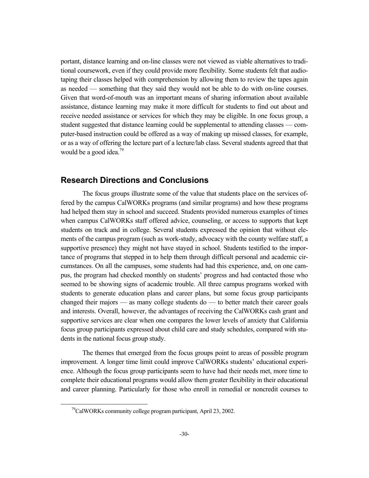portant, distance learning and on-line classes were not viewed as viable alternatives to traditional coursework, even if they could provide more flexibility. Some students felt that audiotaping their classes helped with comprehension by allowing them to review the tapes again as needed — something that they said they would not be able to do with on-line courses. Given that word-of-mouth was an important means of sharing information about available assistance, distance learning may make it more difficult for students to find out about and receive needed assistance or services for which they may be eligible. In one focus group, a student suggested that distance learning could be supplemental to attending classes — computer-based instruction could be offered as a way of making up missed classes, for example, or as a way of offering the lecture part of a lecture/lab class. Several students agreed that that would be a good idea.<sup>79</sup>

#### **Research Directions and Conclusions**

The focus groups illustrate some of the value that students place on the services offered by the campus CalWORKs programs (and similar programs) and how these programs had helped them stay in school and succeed. Students provided numerous examples of times when campus CalWORKs staff offered advice, counseling, or access to supports that kept students on track and in college. Several students expressed the opinion that without elements of the campus program (such as work-study, advocacy with the county welfare staff, a supportive presence) they might not have stayed in school. Students testified to the importance of programs that stepped in to help them through difficult personal and academic circumstances. On all the campuses, some students had had this experience, and, on one campus, the program had checked monthly on students' progress and had contacted those who seemed to be showing signs of academic trouble. All three campus programs worked with students to generate education plans and career plans, but some focus group participants changed their majors — as many college students do — to better match their career goals and interests. Overall, however, the advantages of receiving the CalWORKs cash grant and supportive services are clear when one compares the lower levels of anxiety that California focus group participants expressed about child care and study schedules, compared with students in the national focus group study.

The themes that emerged from the focus groups point to areas of possible program improvement. A longer time limit could improve CalWORKs students' educational experience. Although the focus group participants seem to have had their needs met, more time to complete their educational programs would allow them greater flexibility in their educational and career planning. Particularly for those who enroll in remedial or noncredit courses to

<sup>&</sup>lt;sup>79</sup>CalWORKs community college program participant, April 23, 2002.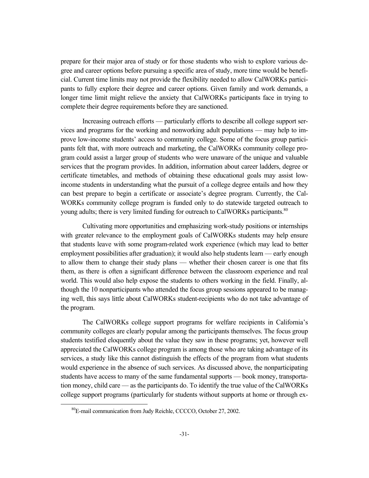prepare for their major area of study or for those students who wish to explore various degree and career options before pursuing a specific area of study, more time would be beneficial. Current time limits may not provide the flexibility needed to allow CalWORKs participants to fully explore their degree and career options. Given family and work demands, a longer time limit might relieve the anxiety that CalWORKs participants face in trying to complete their degree requirements before they are sanctioned.

Increasing outreach efforts — particularly efforts to describe all college support services and programs for the working and nonworking adult populations — may help to improve low-income students' access to community college. Some of the focus group participants felt that, with more outreach and marketing, the CalWORKs community college program could assist a larger group of students who were unaware of the unique and valuable services that the program provides. In addition, information about career ladders, degree or certificate timetables, and methods of obtaining these educational goals may assist lowincome students in understanding what the pursuit of a college degree entails and how they can best prepare to begin a certificate or associate's degree program. Currently, the Cal-WORKs community college program is funded only to do statewide targeted outreach to young adults; there is very limited funding for outreach to CalWORKs participants.<sup>80</sup>

Cultivating more opportunities and emphasizing work-study positions or internships with greater relevance to the employment goals of CalWORKs students may help ensure that students leave with some program-related work experience (which may lead to better employment possibilities after graduation); it would also help students learn — early enough to allow them to change their study plans — whether their chosen career is one that fits them, as there is often a significant difference between the classroom experience and real world. This would also help expose the students to others working in the field. Finally, although the 10 nonparticipants who attended the focus group sessions appeared to be managing well, this says little about CalWORKs student-recipients who do not take advantage of the program.

The CalWORKs college support programs for welfare recipients in California's community colleges are clearly popular among the participants themselves. The focus group students testified eloquently about the value they saw in these programs; yet, however well appreciated the CalWORKs college program is among those who are taking advantage of its services, a study like this cannot distinguish the effects of the program from what students would experience in the absence of such services. As discussed above, the nonparticipating students have access to many of the same fundamental supports — book money, transportation money, child care — as the participants do. To identify the true value of the CalWORKs college support programs (particularly for students without supports at home or through ex-

 <sup>80</sup>E-mail communication from Judy Reichle, CCCCO, October 27, 2002.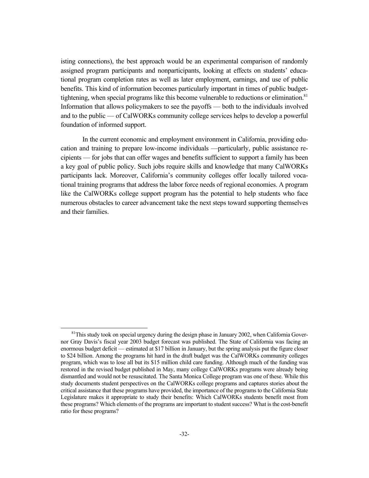isting connections), the best approach would be an experimental comparison of randomly assigned program participants and nonparticipants, looking at effects on students' educational program completion rates as well as later employment, earnings, and use of public benefits. This kind of information becomes particularly important in times of public budgettightening, when special programs like this become vulnerable to reductions or elimination.<sup>81</sup> Information that allows policymakers to see the payoffs — both to the individuals involved and to the public — of CalWORKs community college services helps to develop a powerful foundation of informed support.

In the current economic and employment environment in California, providing education and training to prepare low-income individuals —particularly, public assistance recipients — for jobs that can offer wages and benefits sufficient to support a family has been a key goal of public policy. Such jobs require skills and knowledge that many CalWORKs participants lack. Moreover, California's community colleges offer locally tailored vocational training programs that address the labor force needs of regional economies. A program like the CalWORKs college support program has the potential to help students who face numerous obstacles to career advancement take the next steps toward supporting themselves and their families.

 $81$ This study took on special urgency during the design phase in January 2002, when California Governor Gray Davis's fiscal year 2003 budget forecast was published. The State of California was facing an enormous budget deficit — estimated at \$17 billion in January, but the spring analysis put the figure closer to \$24 billion. Among the programs hit hard in the draft budget was the CalWORKs community colleges program, which was to lose all but its \$15 million child care funding. Although much of the funding was restored in the revised budget published in May, many college CalWORKs programs were already being dismantled and would not be resuscitated. The Santa Monica College program was one of these. While this study documents student perspectives on the CalWORKs college programs and captures stories about the critical assistance that these programs have provided, the importance of the programs to the California State Legislature makes it appropriate to study their benefits: Which CalWORKs students benefit most from these programs? Which elements of the programs are important to student success? What is the cost-benefit ratio for these programs?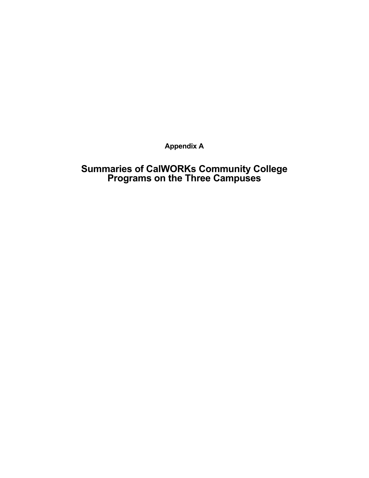**Appendix A** 

# **Summaries of CalWORKs Community College Programs on the Three Campuses**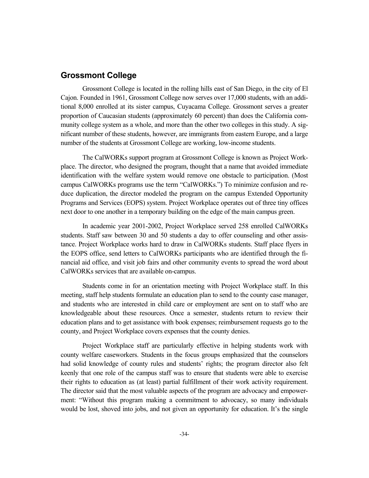#### **Grossmont College**

Grossmont College is located in the rolling hills east of San Diego, in the city of El Cajon. Founded in 1961, Grossmont College now serves over 17,000 students, with an additional 8,000 enrolled at its sister campus, Cuyacama College. Grossmont serves a greater proportion of Caucasian students (approximately 60 percent) than does the California community college system as a whole, and more than the other two colleges in this study. A significant number of these students, however, are immigrants from eastern Europe, and a large number of the students at Grossmont College are working, low-income students.

The CalWORKs support program at Grossmont College is known as Project Workplace. The director, who designed the program, thought that a name that avoided immediate identification with the welfare system would remove one obstacle to participation. (Most campus CalWORKs programs use the term "CalWORKs.") To minimize confusion and reduce duplication, the director modeled the program on the campus Extended Opportunity Programs and Services (EOPS) system. Project Workplace operates out of three tiny offices next door to one another in a temporary building on the edge of the main campus green.

In academic year 2001-2002, Project Workplace served 258 enrolled CalWORKs students. Staff saw between 30 and 50 students a day to offer counseling and other assistance. Project Workplace works hard to draw in CalWORKs students. Staff place flyers in the EOPS office, send letters to CalWORKs participants who are identified through the financial aid office, and visit job fairs and other community events to spread the word about CalWORKs services that are available on-campus.

Students come in for an orientation meeting with Project Workplace staff. In this meeting, staff help students formulate an education plan to send to the county case manager, and students who are interested in child care or employment are sent on to staff who are knowledgeable about these resources. Once a semester, students return to review their education plans and to get assistance with book expenses; reimbursement requests go to the county, and Project Workplace covers expenses that the county denies.

Project Workplace staff are particularly effective in helping students work with county welfare caseworkers. Students in the focus groups emphasized that the counselors had solid knowledge of county rules and students' rights; the program director also felt keenly that one role of the campus staff was to ensure that students were able to exercise their rights to education as (at least) partial fulfillment of their work activity requirement. The director said that the most valuable aspects of the program are advocacy and empowerment: "Without this program making a commitment to advocacy, so many individuals would be lost, shoved into jobs, and not given an opportunity for education. It's the single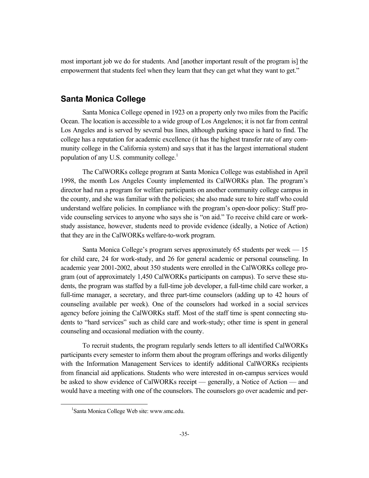most important job we do for students. And [another important result of the program is] the empowerment that students feel when they learn that they can get what they want to get."

### **Santa Monica College**

Santa Monica College opened in 1923 on a property only two miles from the Pacific Ocean. The location is accessible to a wide group of Los Angelenos; it is not far from central Los Angeles and is served by several bus lines, although parking space is hard to find. The college has a reputation for academic excellence (it has the highest transfer rate of any community college in the California system) and says that it has the largest international student population of any U.S. community college.<sup>1</sup>

The CalWORKs college program at Santa Monica College was established in April 1998, the month Los Angeles County implemented its CalWORKs plan. The program's director had run a program for welfare participants on another community college campus in the county, and she was familiar with the policies; she also made sure to hire staff who could understand welfare policies. In compliance with the program's open-door policy: Staff provide counseling services to anyone who says she is "on aid." To receive child care or workstudy assistance, however, students need to provide evidence (ideally, a Notice of Action) that they are in the CalWORKs welfare-to-work program.

Santa Monica College's program serves approximately 65 students per week — 15 for child care, 24 for work-study, and 26 for general academic or personal counseling. In academic year 2001-2002, about 350 students were enrolled in the CalWORKs college program (out of approximately 1,450 CalWORKs participants on campus). To serve these students, the program was staffed by a full-time job developer, a full-time child care worker, a full-time manager, a secretary, and three part-time counselors (adding up to 42 hours of counseling available per week). One of the counselors had worked in a social services agency before joining the CalWORKs staff. Most of the staff time is spent connecting students to "hard services" such as child care and work-study; other time is spent in general counseling and occasional mediation with the county.

To recruit students, the program regularly sends letters to all identified CalWORKs participants every semester to inform them about the program offerings and works diligently with the Information Management Services to identify additional CalWORKs recipients from financial aid applications. Students who were interested in on-campus services would be asked to show evidence of CalWORKs receipt — generally, a Notice of Action — and would have a meeting with one of the counselors. The counselors go over academic and per-

 $\frac{1}{1}$ Santa Monica College Web site: www.smc.edu.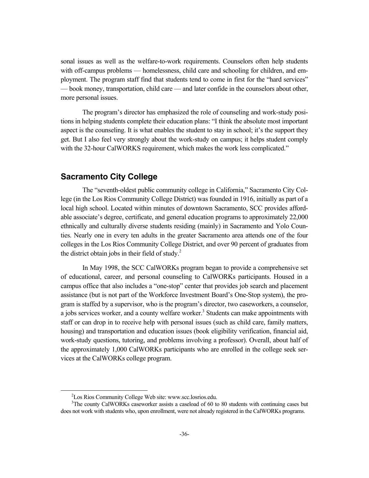sonal issues as well as the welfare-to-work requirements. Counselors often help students with off-campus problems — homelessness, child care and schooling for children, and employment. The program staff find that students tend to come in first for the "hard services" — book money, transportation, child care — and later confide in the counselors about other, more personal issues.

The program's director has emphasized the role of counseling and work-study positions in helping students complete their education plans: "I think the absolute most important aspect is the counseling. It is what enables the student to stay in school; it's the support they get. But I also feel very strongly about the work-study on campus; it helps student comply with the 32-hour CalWORKS requirement, which makes the work less complicated."

#### **Sacramento City College**

The "seventh-oldest public community college in California," Sacramento City College (in the Los Rios Community College District) was founded in 1916, initially as part of a local high school. Located within minutes of downtown Sacramento, SCC provides affordable associate's degree, certificate, and general education programs to approximately 22,000 ethnically and culturally diverse students residing (mainly) in Sacramento and Yolo Counties. Nearly one in every ten adults in the greater Sacramento area attends one of the four colleges in the Los Rios Community College District, and over 90 percent of graduates from the district obtain jobs in their field of study. $2$ 

In May 1998, the SCC CalWORKs program began to provide a comprehensive set of educational, career, and personal counseling to CalWORKs participants. Housed in a campus office that also includes a "one-stop" center that provides job search and placement assistance (but is not part of the Workforce Investment Board's One-Stop system), the program is staffed by a supervisor, who is the program's director, two caseworkers, a counselor, a jobs services worker, and a county welfare worker.<sup>3</sup> Students can make appointments with staff or can drop in to receive help with personal issues (such as child care, family matters, housing) and transportation and education issues (book eligibility verification, financial aid, work-study questions, tutoring, and problems involving a professor). Overall, about half of the approximately 1,000 CalWORKs participants who are enrolled in the college seek services at the CalWORKs college program.

 $\frac{1}{2}$  ${}^{2}$ Los Rios Community College Web site: www.scc.losrios.edu.

<sup>&</sup>lt;sup>3</sup>The county CalWORKs caseworker assists a caseload of 60 to 80 students with continuing cases but does not work with students who, upon enrollment, were not already registered in the CalWORKs programs.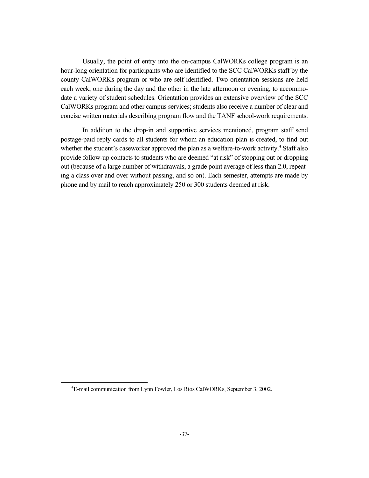Usually, the point of entry into the on-campus CalWORKs college program is an hour-long orientation for participants who are identified to the SCC CalWORKs staff by the county CalWORKs program or who are self-identified. Two orientation sessions are held each week, one during the day and the other in the late afternoon or evening, to accommodate a variety of student schedules. Orientation provides an extensive overview of the SCC CalWORKs program and other campus services; students also receive a number of clear and concise written materials describing program flow and the TANF school-work requirements.

In addition to the drop-in and supportive services mentioned, program staff send postage-paid reply cards to all students for whom an education plan is created, to find out whether the student's caseworker approved the plan as a welfare-to-work activity.<sup>4</sup> Staff also provide follow-up contacts to students who are deemed "at risk" of stopping out or dropping out (because of a large number of withdrawals, a grade point average of less than 2.0, repeating a class over and over without passing, and so on). Each semester, attempts are made by phone and by mail to reach approximately 250 or 300 students deemed at risk.

 $\frac{1}{4}$ E-mail communication from Lynn Fowler, Los Rios CalWORKs, September 3, 2002.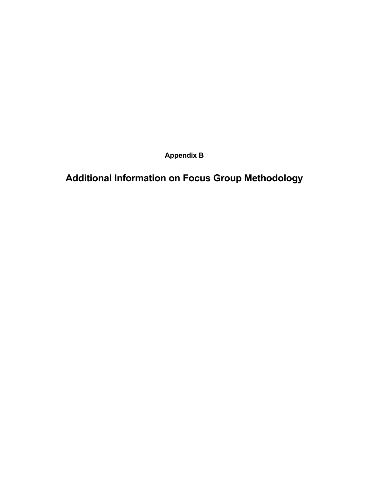**Appendix B** 

**Additional Information on Focus Group Methodology**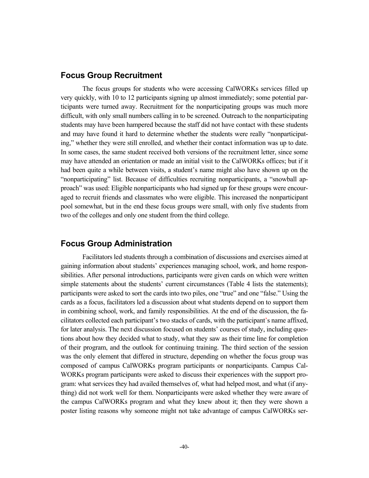#### **Focus Group Recruitment**

The focus groups for students who were accessing CalWORKs services filled up very quickly, with 10 to 12 participants signing up almost immediately; some potential participants were turned away. Recruitment for the nonparticipating groups was much more difficult, with only small numbers calling in to be screened. Outreach to the nonparticipating students may have been hampered because the staff did not have contact with these students and may have found it hard to determine whether the students were really "nonparticipating," whether they were still enrolled, and whether their contact information was up to date. In some cases, the same student received both versions of the recruitment letter, since some may have attended an orientation or made an initial visit to the CalWORKs offices; but if it had been quite a while between visits, a student's name might also have shown up on the "nonparticipating" list. Because of difficulties recruiting nonparticipants, a "snowball approach" was used: Eligible nonparticipants who had signed up for these groups were encouraged to recruit friends and classmates who were eligible. This increased the nonparticipant pool somewhat, but in the end these focus groups were small, with only five students from two of the colleges and only one student from the third college.

#### **Focus Group Administration**

Facilitators led students through a combination of discussions and exercises aimed at gaining information about students' experiences managing school, work, and home responsibilities. After personal introductions, participants were given cards on which were written simple statements about the students' current circumstances (Table 4 lists the statements); participants were asked to sort the cards into two piles, one "true" and one "false." Using the cards as a focus, facilitators led a discussion about what students depend on to support them in combining school, work, and family responsibilities. At the end of the discussion, the facilitators collected each participant's two stacks of cards, with the participant's name affixed, for later analysis. The next discussion focused on students' courses of study, including questions about how they decided what to study, what they saw as their time line for completion of their program, and the outlook for continuing training. The third section of the session was the only element that differed in structure, depending on whether the focus group was composed of campus CalWORKs program participants or nonparticipants. Campus Cal-WORKs program participants were asked to discuss their experiences with the support program: what services they had availed themselves of, what had helped most, and what (if anything) did not work well for them. Nonparticipants were asked whether they were aware of the campus CalWORKs program and what they knew about it; then they were shown a poster listing reasons why someone might not take advantage of campus CalWORKs ser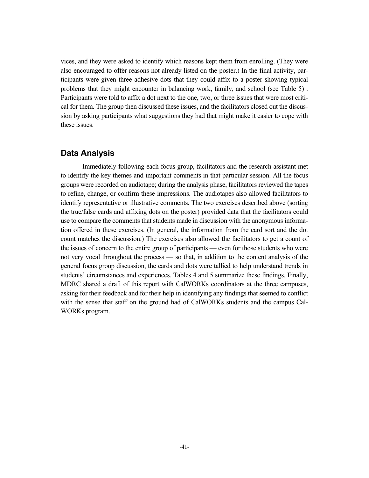vices, and they were asked to identify which reasons kept them from enrolling. (They were also encouraged to offer reasons not already listed on the poster.) In the final activity, participants were given three adhesive dots that they could affix to a poster showing typical problems that they might encounter in balancing work, family, and school (see Table 5) . Participants were told to affix a dot next to the one, two, or three issues that were most critical for them. The group then discussed these issues, and the facilitators closed out the discussion by asking participants what suggestions they had that might make it easier to cope with these issues.

#### **Data Analysis**

Immediately following each focus group, facilitators and the research assistant met to identify the key themes and important comments in that particular session. All the focus groups were recorded on audiotape; during the analysis phase, facilitators reviewed the tapes to refine, change, or confirm these impressions. The audiotapes also allowed facilitators to identify representative or illustrative comments. The two exercises described above (sorting the true/false cards and affixing dots on the poster) provided data that the facilitators could use to compare the comments that students made in discussion with the anonymous information offered in these exercises. (In general, the information from the card sort and the dot count matches the discussion.) The exercises also allowed the facilitators to get a count of the issues of concern to the entire group of participants — even for those students who were not very vocal throughout the process — so that, in addition to the content analysis of the general focus group discussion, the cards and dots were tallied to help understand trends in students' circumstances and experiences. Tables 4 and 5 summarize these findings. Finally, MDRC shared a draft of this report with CalWORKs coordinators at the three campuses, asking for their feedback and for their help in identifying any findings that seemed to conflict with the sense that staff on the ground had of CalWORKs students and the campus Cal-WORKs program.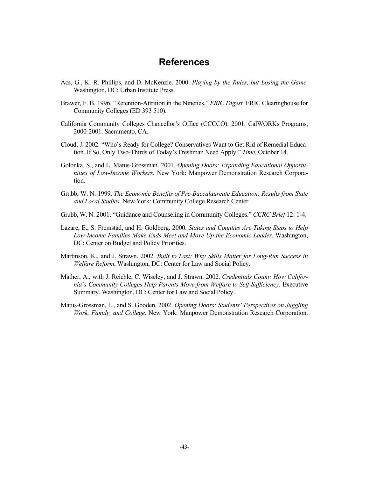## **References**

- Acs, G., K. R. Phillips, and D. McKenzie. 2000. *Playing by the Rules, but Losing the Game.* Washington, DC: Urban Institute Press.
- Brawer, F. B. 1996. "Retention-Attrition in the Nineties." *ERIC Digest.* ERIC Clearinghouse for Community Colleges (ED 393 510).
- California Community Colleges Chancellor's Office (CCCCO). 2001. CalWORKs Programs, 2000-2001. Sacramento, CA.
- Cloud, J. 2002. "Who's Ready for College? Conservatives Want to Get Rid of Remedial Education. If So, Only Two-Thirds of Today's Freshman Need Apply." *Time*, October 14.
- Golonka, S., and L. Matus-Grossman. 2001. *Opening Doors: Expanding Educational Opportunities of Low-Income Workers.* New York: Manpower Demonstration Research Corporation.
- Grubb, W. N. 1999. *The Economic Benefits of Pre-Baccalaureate Education: Results from State and Local Studies.* New York: Community College Research Center.
- Grubb, W. N. 2001. "Guidance and Counseling in Community Colleges." *CCRC Brief* 12: 1-4.
- Lazare, E., S. Fremstad, and H. Goldberg. 2000. *States and Counties Are Taking Steps to Help Low-Income Families Make Ends Meet and Move Up the Economic Ladder.* Washington, DC: Center on Budget and Policy Priorities.
- Martinson, K., and J. Strawn. 2002. *Built to Last: Why Skills Matter for Long-Run Success in Welfare Reform.* Washington, DC: Center for Law and Social Policy.
- Mather, A., with J. Reichle, C. Wiseley, and J. Strawn. 2002. *Credentials Count: How California's Community Colleges Help Parents Move from Welfare to Self-Sufficiency.* Executive Summary. Washington, DC: Center for Law and Social Policy.
- Matus-Grossman, L., and S. Gooden. 2002. *Opening Doors: Students' Perspectives on Juggling Work, Family, and College.* New York: Manpower Demonstration Research Corporation.